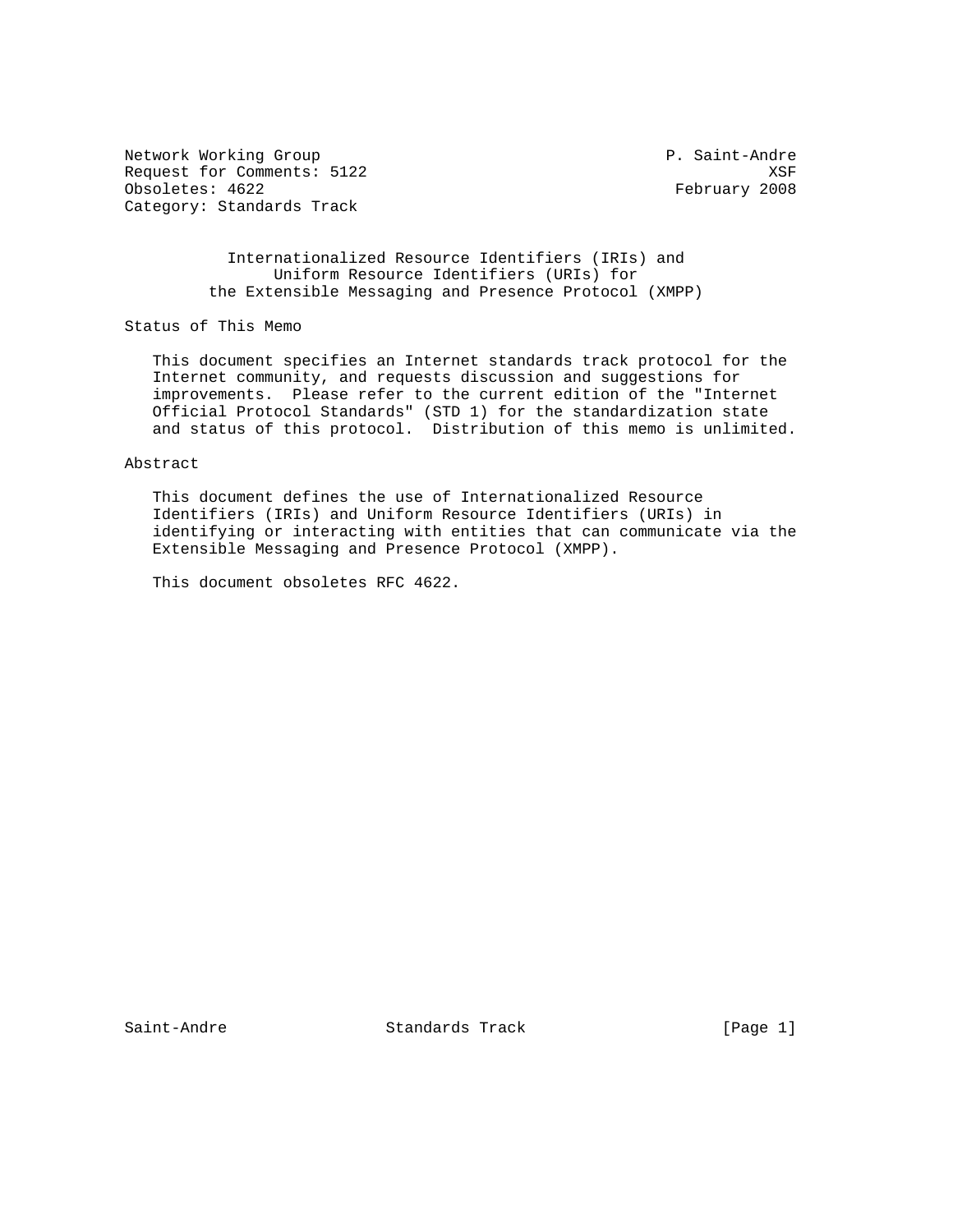Network Working Group P. Saint-Andre Request for Comments: 5122 XSF<br>
Obsoletes: 4622 7008 Category: Standards Track

February 2008

 Internationalized Resource Identifiers (IRIs) and Uniform Resource Identifiers (URIs) for the Extensible Messaging and Presence Protocol (XMPP)

Status of This Memo

 This document specifies an Internet standards track protocol for the Internet community, and requests discussion and suggestions for improvements. Please refer to the current edition of the "Internet Official Protocol Standards" (STD 1) for the standardization state and status of this protocol. Distribution of this memo is unlimited.

Abstract

 This document defines the use of Internationalized Resource Identifiers (IRIs) and Uniform Resource Identifiers (URIs) in identifying or interacting with entities that can communicate via the Extensible Messaging and Presence Protocol (XMPP).

This document obsoletes RFC 4622.

Saint-Andre Standards Track [Page 1]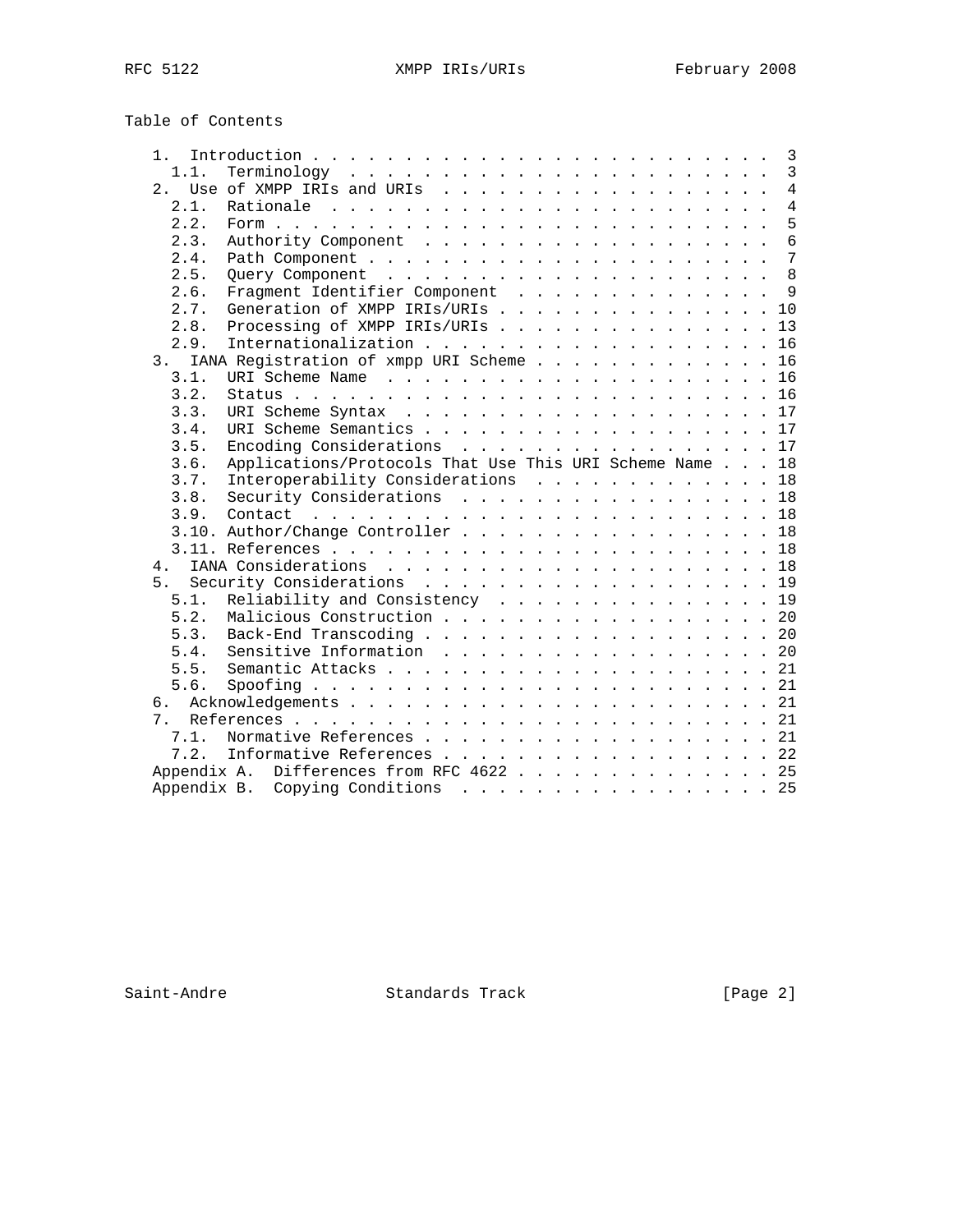| Table of Contents |  |
|-------------------|--|
|-------------------|--|

| $1$ .                                                                                                                    |  | 3               |
|--------------------------------------------------------------------------------------------------------------------------|--|-----------------|
| 1.1.                                                                                                                     |  | $\overline{3}$  |
|                                                                                                                          |  | $\overline{4}$  |
| 2.1.                                                                                                                     |  | $\overline{4}$  |
| 2.2.<br>Form $\ldots$ $\ldots$ $\ldots$ $\ldots$ $\ldots$ $\ldots$ $\ldots$ $\ldots$ $\ldots$ $\ldots$ $\ldots$ $\ldots$ |  | 5               |
| 2.3.                                                                                                                     |  | $6\overline{6}$ |
| 2.4.                                                                                                                     |  | 7               |
| 2.5.                                                                                                                     |  | 8               |
| Fragment Identifier Component<br>2.6.                                                                                    |  | $\mathsf{Q}$    |
| Generation of XMPP IRIs/URIs 10<br>2.7.                                                                                  |  |                 |
| Processing of XMPP IRIs/URIs 13<br>2.8.                                                                                  |  |                 |
| 2.9.<br>Internationalization 16                                                                                          |  |                 |
| IANA Registration of xmpp URI Scheme 16<br>3 <sub>1</sub>                                                                |  |                 |
| 3.1.                                                                                                                     |  |                 |
| 3.2.                                                                                                                     |  |                 |
| 3.3.<br>URI Scheme Syntax 17                                                                                             |  |                 |
| 3.4.<br>URI Scheme Semantics 17                                                                                          |  |                 |
| 3.5.<br>Encoding Considerations 17                                                                                       |  |                 |
| Applications/Protocols That Use This URI Scheme Name 18<br>3.6.                                                          |  |                 |
| Interoperability Considerations 18<br>3.7.                                                                               |  |                 |
| Security Considerations 18<br>3.8.                                                                                       |  |                 |
| 3.9.                                                                                                                     |  |                 |
| 3.10. Author/Change Controller 18                                                                                        |  |                 |
|                                                                                                                          |  |                 |
| 4 <sub>1</sub>                                                                                                           |  |                 |
| 5 <sub>1</sub><br>Security Considerations 19                                                                             |  |                 |
| Reliability and Consistency 19<br>5.1.                                                                                   |  |                 |
| Malicious Construction 20<br>5.2.                                                                                        |  |                 |
| Back-End Transcoding 20<br>5.3.                                                                                          |  |                 |
| Sensitive Information 20<br>5.4.                                                                                         |  |                 |
| 5.5.                                                                                                                     |  |                 |
| 5.6.                                                                                                                     |  |                 |
| რ.                                                                                                                       |  |                 |
| 7.                                                                                                                       |  |                 |
| Normative References 21<br>7.1.                                                                                          |  |                 |
| Informative References 22<br>7.2.                                                                                        |  |                 |
| Differences from RFC 4622 25<br>Appendix A.                                                                              |  |                 |
| Copying Conditions 25<br>Appendix B.                                                                                     |  |                 |

Saint-Andre Standards Track [Page 2]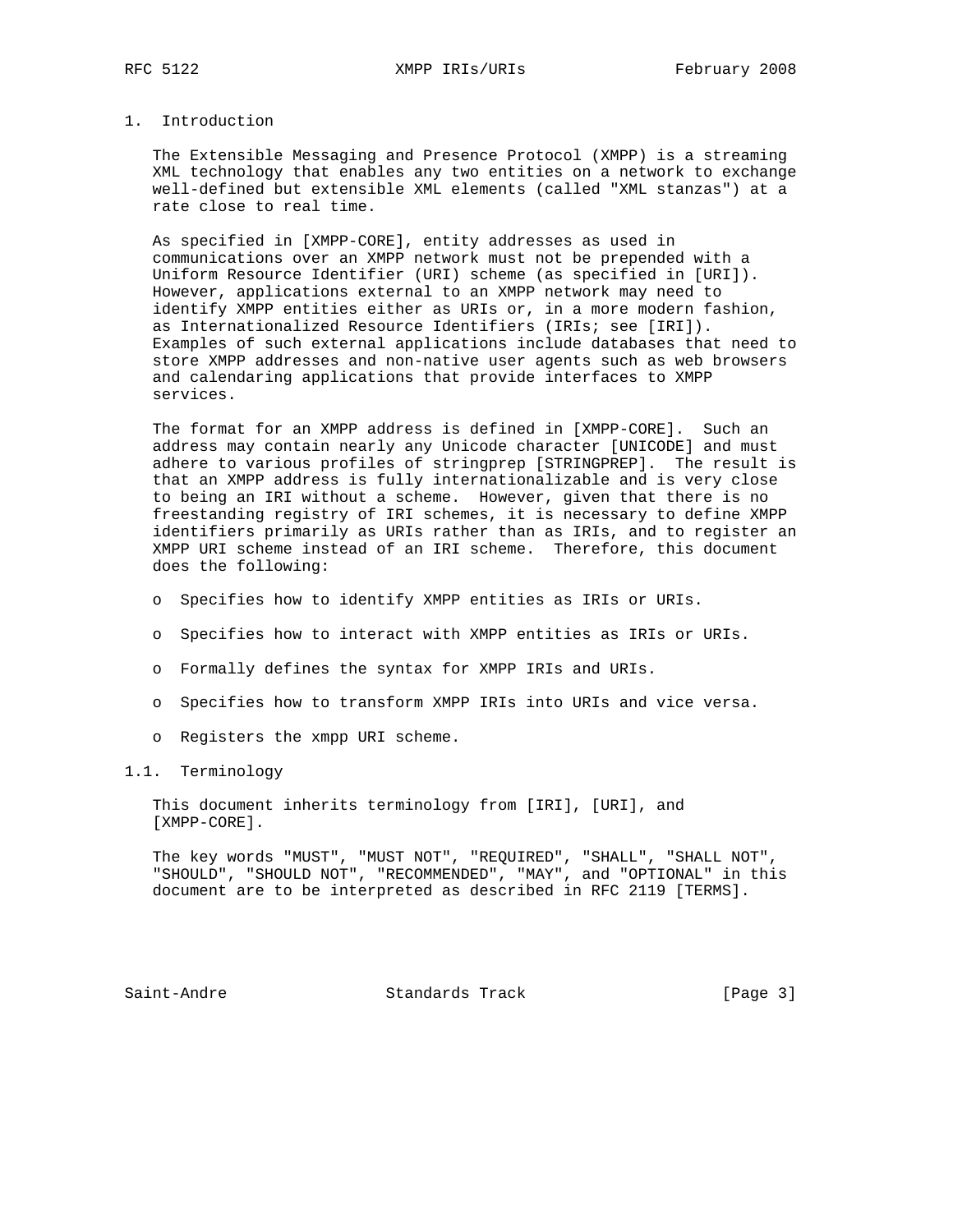## 1. Introduction

 The Extensible Messaging and Presence Protocol (XMPP) is a streaming XML technology that enables any two entities on a network to exchange well-defined but extensible XML elements (called "XML stanzas") at a rate close to real time.

 As specified in [XMPP-CORE], entity addresses as used in communications over an XMPP network must not be prepended with a Uniform Resource Identifier (URI) scheme (as specified in [URI]). However, applications external to an XMPP network may need to identify XMPP entities either as URIs or, in a more modern fashion, as Internationalized Resource Identifiers (IRIs; see [IRI]). Examples of such external applications include databases that need to store XMPP addresses and non-native user agents such as web browsers and calendaring applications that provide interfaces to XMPP services.

 The format for an XMPP address is defined in [XMPP-CORE]. Such an address may contain nearly any Unicode character [UNICODE] and must adhere to various profiles of stringprep [STRINGPREP]. The result is that an XMPP address is fully internationalizable and is very close to being an IRI without a scheme. However, given that there is no freestanding registry of IRI schemes, it is necessary to define XMPP identifiers primarily as URIs rather than as IRIs, and to register an XMPP URI scheme instead of an IRI scheme. Therefore, this document does the following:

- o Specifies how to identify XMPP entities as IRIs or URIs.
- o Specifies how to interact with XMPP entities as IRIs or URIs.
- o Formally defines the syntax for XMPP IRIs and URIs.
- o Specifies how to transform XMPP IRIs into URIs and vice versa.
- o Registers the xmpp URI scheme.

## 1.1. Terminology

 This document inherits terminology from [IRI], [URI], and [XMPP-CORE].

 The key words "MUST", "MUST NOT", "REQUIRED", "SHALL", "SHALL NOT", "SHOULD", "SHOULD NOT", "RECOMMENDED", "MAY", and "OPTIONAL" in this document are to be interpreted as described in RFC 2119 [TERMS].

Saint-Andre Standards Track [Page 3]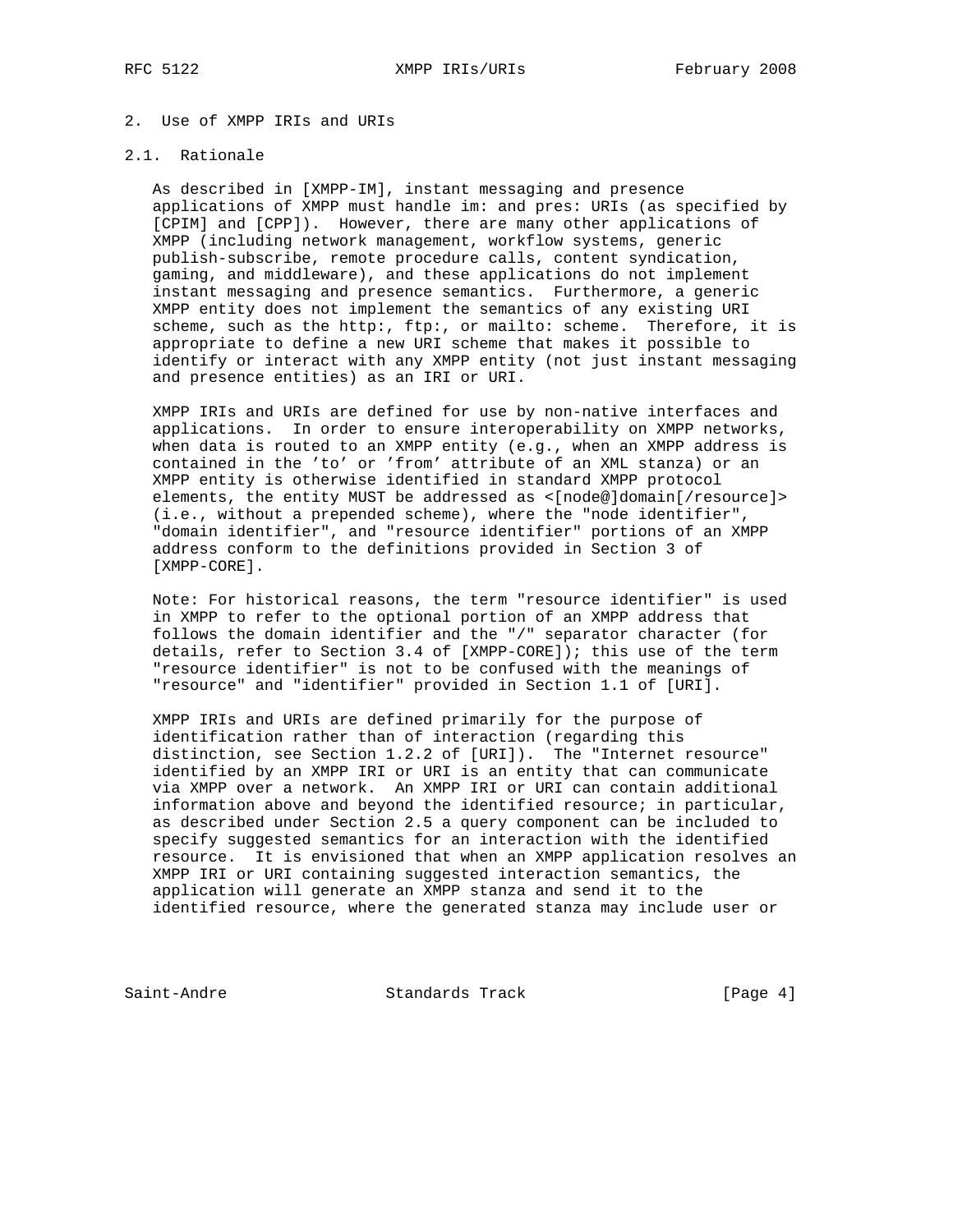# 2. Use of XMPP IRIs and URIs

# 2.1. Rationale

 As described in [XMPP-IM], instant messaging and presence applications of XMPP must handle im: and pres: URIs (as specified by [CPIM] and [CPP]). However, there are many other applications of XMPP (including network management, workflow systems, generic publish-subscribe, remote procedure calls, content syndication, gaming, and middleware), and these applications do not implement instant messaging and presence semantics. Furthermore, a generic XMPP entity does not implement the semantics of any existing URI scheme, such as the http:, ftp:, or mailto: scheme. Therefore, it is appropriate to define a new URI scheme that makes it possible to identify or interact with any XMPP entity (not just instant messaging and presence entities) as an IRI or URI.

 XMPP IRIs and URIs are defined for use by non-native interfaces and applications. In order to ensure interoperability on XMPP networks, when data is routed to an XMPP entity (e.g., when an XMPP address is contained in the 'to' or 'from' attribute of an XML stanza) or an XMPP entity is otherwise identified in standard XMPP protocol elements, the entity MUST be addressed as <[node@]domain[/resource]> (i.e., without a prepended scheme), where the "node identifier", "domain identifier", and "resource identifier" portions of an XMPP address conform to the definitions provided in Section 3 of [XMPP-CORE].

 Note: For historical reasons, the term "resource identifier" is used in XMPP to refer to the optional portion of an XMPP address that follows the domain identifier and the "/" separator character (for details, refer to Section 3.4 of [XMPP-CORE]); this use of the term "resource identifier" is not to be confused with the meanings of "resource" and "identifier" provided in Section 1.1 of [URI].

 XMPP IRIs and URIs are defined primarily for the purpose of identification rather than of interaction (regarding this distinction, see Section 1.2.2 of [URI]). The "Internet resource" identified by an XMPP IRI or URI is an entity that can communicate via XMPP over a network. An XMPP IRI or URI can contain additional information above and beyond the identified resource; in particular, as described under Section 2.5 a query component can be included to specify suggested semantics for an interaction with the identified resource. It is envisioned that when an XMPP application resolves an XMPP IRI or URI containing suggested interaction semantics, the application will generate an XMPP stanza and send it to the identified resource, where the generated stanza may include user or

Saint-Andre Standards Track [Page 4]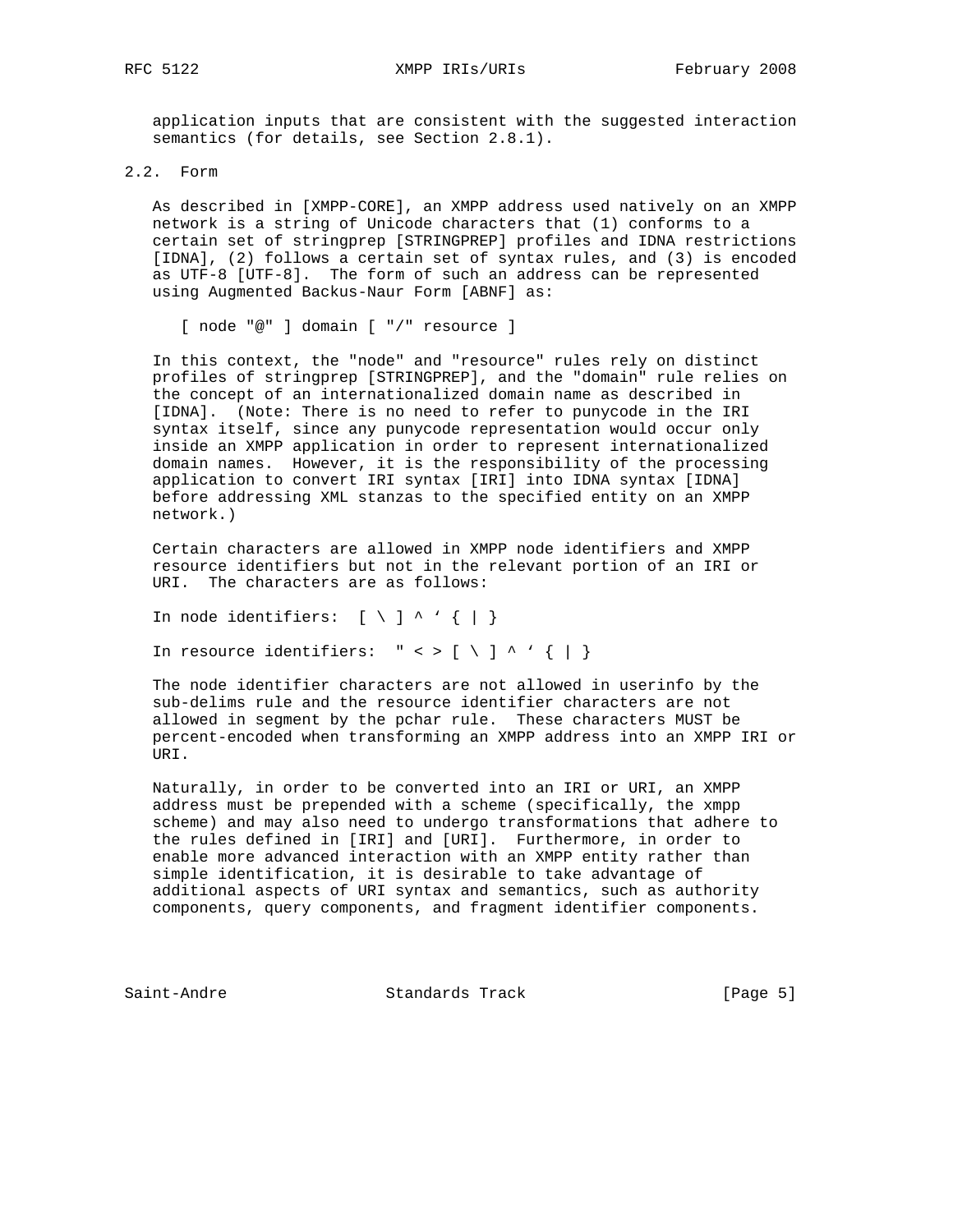RFC 5122 XMPP IRIs/URIS February 2008

 application inputs that are consistent with the suggested interaction semantics (for details, see Section 2.8.1).

2.2. Form

 As described in [XMPP-CORE], an XMPP address used natively on an XMPP network is a string of Unicode characters that (1) conforms to a certain set of stringprep [STRINGPREP] profiles and IDNA restrictions [IDNA], (2) follows a certain set of syntax rules, and (3) is encoded as UTF-8 [UTF-8]. The form of such an address can be represented using Augmented Backus-Naur Form [ABNF] as:

[ node "@" ] domain [ "/" resource ]

 In this context, the "node" and "resource" rules rely on distinct profiles of stringprep [STRINGPREP], and the "domain" rule relies on the concept of an internationalized domain name as described in [IDNA]. (Note: There is no need to refer to punycode in the IRI syntax itself, since any punycode representation would occur only inside an XMPP application in order to represent internationalized domain names. However, it is the responsibility of the processing application to convert IRI syntax [IRI] into IDNA syntax [IDNA] before addressing XML stanzas to the specified entity on an XMPP network.)

 Certain characters are allowed in XMPP node identifiers and XMPP resource identifiers but not in the relevant portion of an IRI or URI. The characters are as follows:

In node identifiers:  $[\ \ \ \ ] \ \$ 

In resource identifiers:  $" < > [ \ \ | \ \$  \

 The node identifier characters are not allowed in userinfo by the sub-delims rule and the resource identifier characters are not allowed in segment by the pchar rule. These characters MUST be percent-encoded when transforming an XMPP address into an XMPP IRI or URI.

 Naturally, in order to be converted into an IRI or URI, an XMPP address must be prepended with a scheme (specifically, the xmpp scheme) and may also need to undergo transformations that adhere to the rules defined in [IRI] and [URI]. Furthermore, in order to enable more advanced interaction with an XMPP entity rather than simple identification, it is desirable to take advantage of additional aspects of URI syntax and semantics, such as authority components, query components, and fragment identifier components.

Saint-Andre Standards Track [Page 5]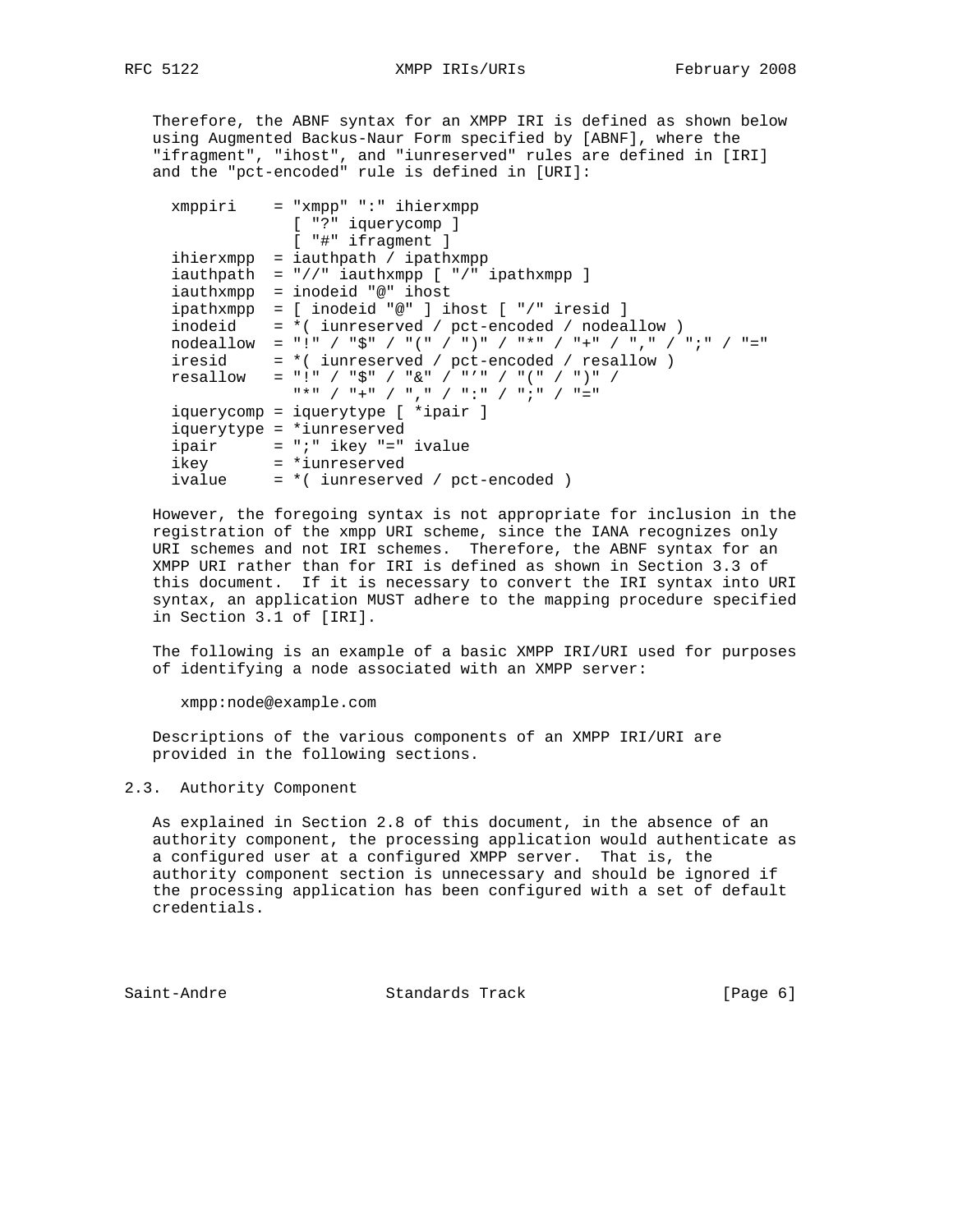Therefore, the ABNF syntax for an XMPP IRI is defined as shown below using Augmented Backus-Naur Form specified by [ABNF], where the "ifragment", "ihost", and "iunreserved" rules are defined in [IRI] and the "pct-encoded" rule is defined in [URI]:

 xmppiri = "xmpp" ":" ihierxmpp [ "?" iquerycomp ] [ "#" ifragment ]  $i$ hierxmpp =  $i$ authpath /  $i$ pathxmpp  $i$ authpath = "//"  $i$ authxmpp [ "/"  $i$ pathxmpp ] iauthxmpp = inodeid "@" ihost ipathxmpp = [ inodeid "@" ] ihost [ "/" iresid ] inodeid = \*( iunreserved / pct-encoded / nodeallow ) nodeallow = "!" / "\$" / "(" / ")" / "\*" / "+" / "," / ";" / "=" iresid = \*( iunreserved / pct-encoded / resallow ) resallow = "!" / "\$" / "&" / "'" / "(" / ")" / "\*" / "+" / "," / ":" / ";" / "=" iquerycomp = iquerytype [ \*ipair ] iquerytype = \*iunreserved ipair = ";" ikey "=" ivalue ikey = \*iunreserved ivalue = \*( iunreserved / pct-encoded )

 However, the foregoing syntax is not appropriate for inclusion in the registration of the xmpp URI scheme, since the IANA recognizes only URI schemes and not IRI schemes. Therefore, the ABNF syntax for an XMPP URI rather than for IRI is defined as shown in Section 3.3 of this document. If it is necessary to convert the IRI syntax into URI syntax, an application MUST adhere to the mapping procedure specified in Section 3.1 of [IRI].

 The following is an example of a basic XMPP IRI/URI used for purposes of identifying a node associated with an XMPP server:

xmpp:node@example.com

 Descriptions of the various components of an XMPP IRI/URI are provided in the following sections.

2.3. Authority Component

 As explained in Section 2.8 of this document, in the absence of an authority component, the processing application would authenticate as a configured user at a configured XMPP server. That is, the authority component section is unnecessary and should be ignored if the processing application has been configured with a set of default credentials.

Saint-Andre Standards Track [Page 6]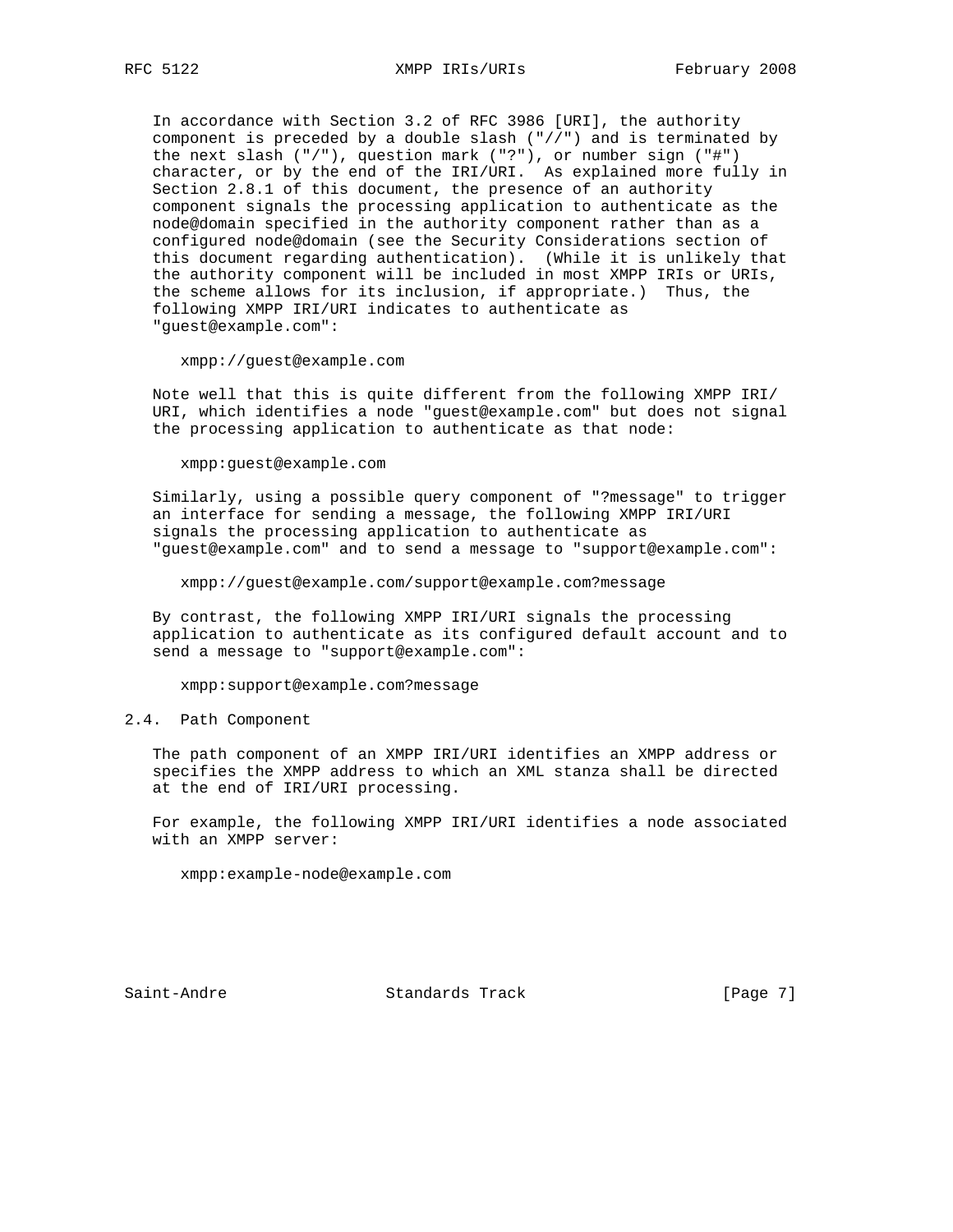In accordance with Section 3.2 of RFC 3986 [URI], the authority component is preceded by a double slash ("//") and is terminated by the next slash ("/"), question mark ("?"), or number sign ("#") character, or by the end of the IRI/URI. As explained more fully in Section 2.8.1 of this document, the presence of an authority component signals the processing application to authenticate as the node@domain specified in the authority component rather than as a configured node@domain (see the Security Considerations section of this document regarding authentication). (While it is unlikely that the authority component will be included in most XMPP IRIs or URIs, the scheme allows for its inclusion, if appropriate.) Thus, the following XMPP IRI/URI indicates to authenticate as "guest@example.com":

xmpp://guest@example.com

 Note well that this is quite different from the following XMPP IRI/ URI, which identifies a node "guest@example.com" but does not signal the processing application to authenticate as that node:

xmpp:guest@example.com

 Similarly, using a possible query component of "?message" to trigger an interface for sending a message, the following XMPP IRI/URI signals the processing application to authenticate as "guest@example.com" and to send a message to "support@example.com":

xmpp://guest@example.com/support@example.com?message

 By contrast, the following XMPP IRI/URI signals the processing application to authenticate as its configured default account and to send a message to "support@example.com":

xmpp:support@example.com?message

2.4. Path Component

 The path component of an XMPP IRI/URI identifies an XMPP address or specifies the XMPP address to which an XML stanza shall be directed at the end of IRI/URI processing.

 For example, the following XMPP IRI/URI identifies a node associated with an XMPP server:

xmpp:example-node@example.com

Saint-Andre Standards Track [Page 7]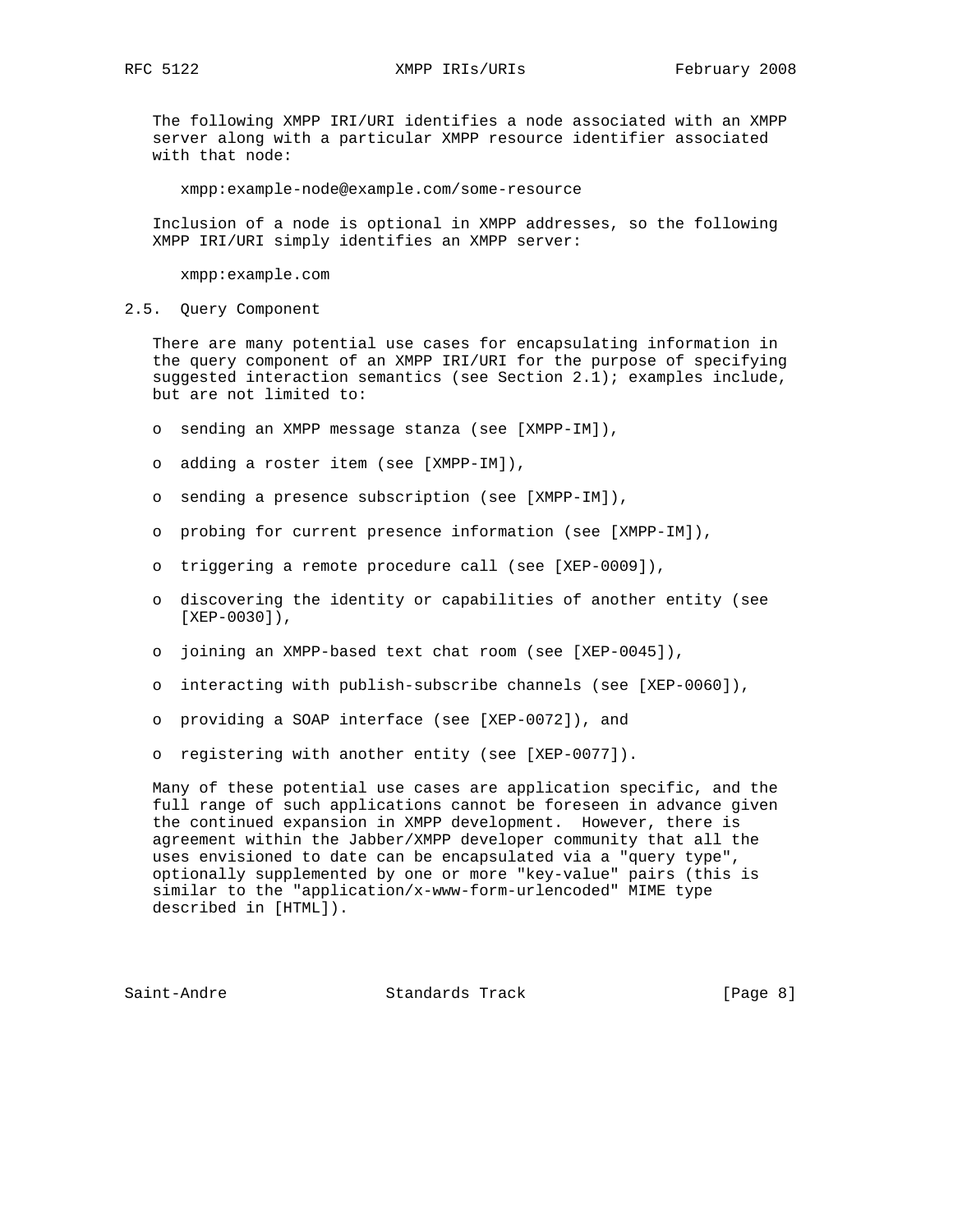RFC 5122 XMPP IRIs/URIS February 2008

 The following XMPP IRI/URI identifies a node associated with an XMPP server along with a particular XMPP resource identifier associated with that node:

xmpp:example-node@example.com/some-resource

 Inclusion of a node is optional in XMPP addresses, so the following XMPP IRI/URI simply identifies an XMPP server:

xmpp:example.com

2.5. Query Component

 There are many potential use cases for encapsulating information in the query component of an XMPP IRI/URI for the purpose of specifying suggested interaction semantics (see Section 2.1); examples include, but are not limited to:

- o sending an XMPP message stanza (see [XMPP-IM]),
- o adding a roster item (see [XMPP-IM]),
- o sending a presence subscription (see [XMPP-IM]),
- o probing for current presence information (see [XMPP-IM]),
- o triggering a remote procedure call (see [XEP-0009]),
- o discovering the identity or capabilities of another entity (see [XEP-0030]),
- o joining an XMPP-based text chat room (see [XEP-0045]),
- o interacting with publish-subscribe channels (see [XEP-0060]),
- o providing a SOAP interface (see [XEP-0072]), and
- o registering with another entity (see [XEP-0077]).

 Many of these potential use cases are application specific, and the full range of such applications cannot be foreseen in advance given the continued expansion in XMPP development. However, there is agreement within the Jabber/XMPP developer community that all the uses envisioned to date can be encapsulated via a "query type", optionally supplemented by one or more "key-value" pairs (this is similar to the "application/x-www-form-urlencoded" MIME type described in [HTML]).

Saint-Andre Standards Track [Page 8]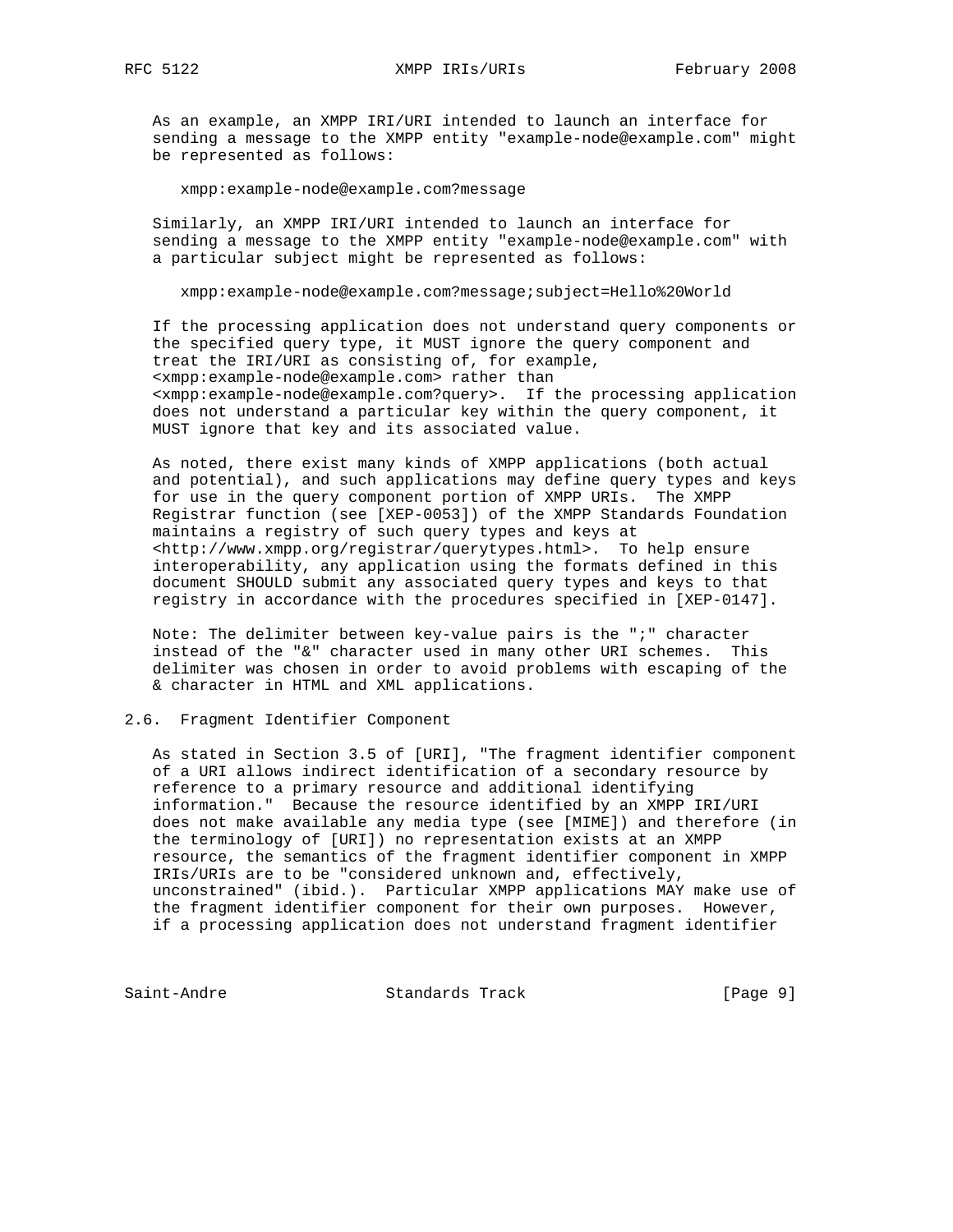As an example, an XMPP IRI/URI intended to launch an interface for sending a message to the XMPP entity "example-node@example.com" might be represented as follows:

xmpp:example-node@example.com?message

 Similarly, an XMPP IRI/URI intended to launch an interface for sending a message to the XMPP entity "example-node@example.com" with a particular subject might be represented as follows:

xmpp:example-node@example.com?message;subject=Hello%20World

 If the processing application does not understand query components or the specified query type, it MUST ignore the query component and treat the IRI/URI as consisting of, for example, <xmpp:example-node@example.com> rather than <xmpp:example-node@example.com?query>. If the processing application does not understand a particular key within the query component, it MUST ignore that key and its associated value.

 As noted, there exist many kinds of XMPP applications (both actual and potential), and such applications may define query types and keys for use in the query component portion of XMPP URIs. The XMPP Registrar function (see [XEP-0053]) of the XMPP Standards Foundation maintains a registry of such query types and keys at <http://www.xmpp.org/registrar/querytypes.html>. To help ensure interoperability, any application using the formats defined in this document SHOULD submit any associated query types and keys to that registry in accordance with the procedures specified in [XEP-0147].

 Note: The delimiter between key-value pairs is the ";" character instead of the "&" character used in many other URI schemes. This delimiter was chosen in order to avoid problems with escaping of the & character in HTML and XML applications.

#### 2.6. Fragment Identifier Component

 As stated in Section 3.5 of [URI], "The fragment identifier component of a URI allows indirect identification of a secondary resource by reference to a primary resource and additional identifying information." Because the resource identified by an XMPP IRI/URI does not make available any media type (see [MIME]) and therefore (in the terminology of [URI]) no representation exists at an XMPP resource, the semantics of the fragment identifier component in XMPP IRIs/URIs are to be "considered unknown and, effectively, unconstrained" (ibid.). Particular XMPP applications MAY make use of the fragment identifier component for their own purposes. However, if a processing application does not understand fragment identifier

Saint-Andre Standards Track [Page 9]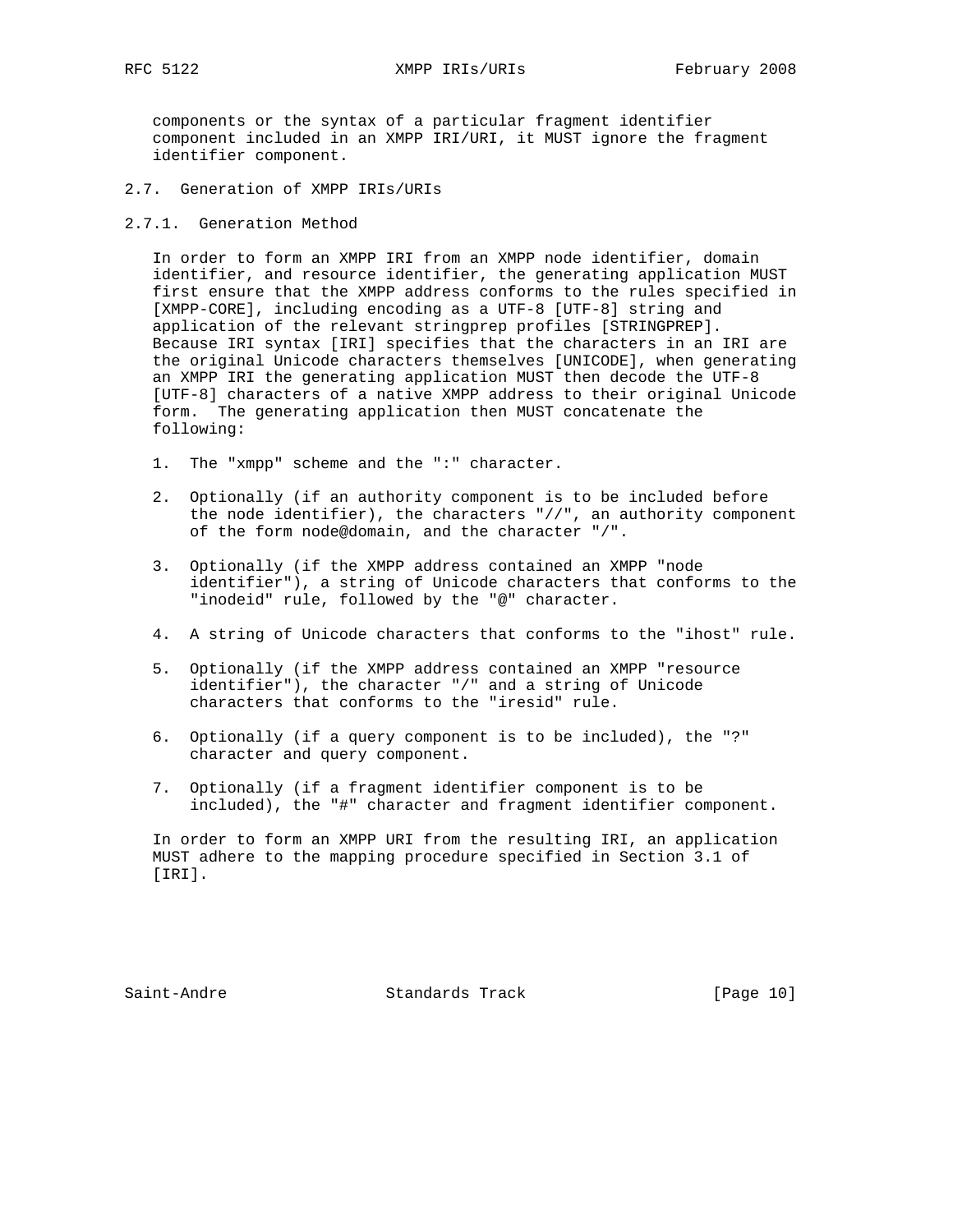components or the syntax of a particular fragment identifier component included in an XMPP IRI/URI, it MUST ignore the fragment identifier component.

- 2.7. Generation of XMPP IRIs/URIs
- 2.7.1. Generation Method

 In order to form an XMPP IRI from an XMPP node identifier, domain identifier, and resource identifier, the generating application MUST first ensure that the XMPP address conforms to the rules specified in [XMPP-CORE], including encoding as a UTF-8 [UTF-8] string and application of the relevant stringprep profiles [STRINGPREP]. Because IRI syntax [IRI] specifies that the characters in an IRI are the original Unicode characters themselves [UNICODE], when generating an XMPP IRI the generating application MUST then decode the UTF-8 [UTF-8] characters of a native XMPP address to their original Unicode form. The generating application then MUST concatenate the following:

- 1. The "xmpp" scheme and the ":" character.
- 2. Optionally (if an authority component is to be included before the node identifier), the characters  $\sqrt{''}$ , an authority component of the form node@domain, and the character "/".
- 3. Optionally (if the XMPP address contained an XMPP "node identifier"), a string of Unicode characters that conforms to the "inodeid" rule, followed by the "@" character.
- 4. A string of Unicode characters that conforms to the "ihost" rule.
- 5. Optionally (if the XMPP address contained an XMPP "resource identifier"), the character "/" and a string of Unicode characters that conforms to the "iresid" rule.
- 6. Optionally (if a query component is to be included), the "?" character and query component.
- 7. Optionally (if a fragment identifier component is to be included), the "#" character and fragment identifier component.

 In order to form an XMPP URI from the resulting IRI, an application MUST adhere to the mapping procedure specified in Section 3.1 of [IRI].

Saint-Andre Standards Track [Page 10]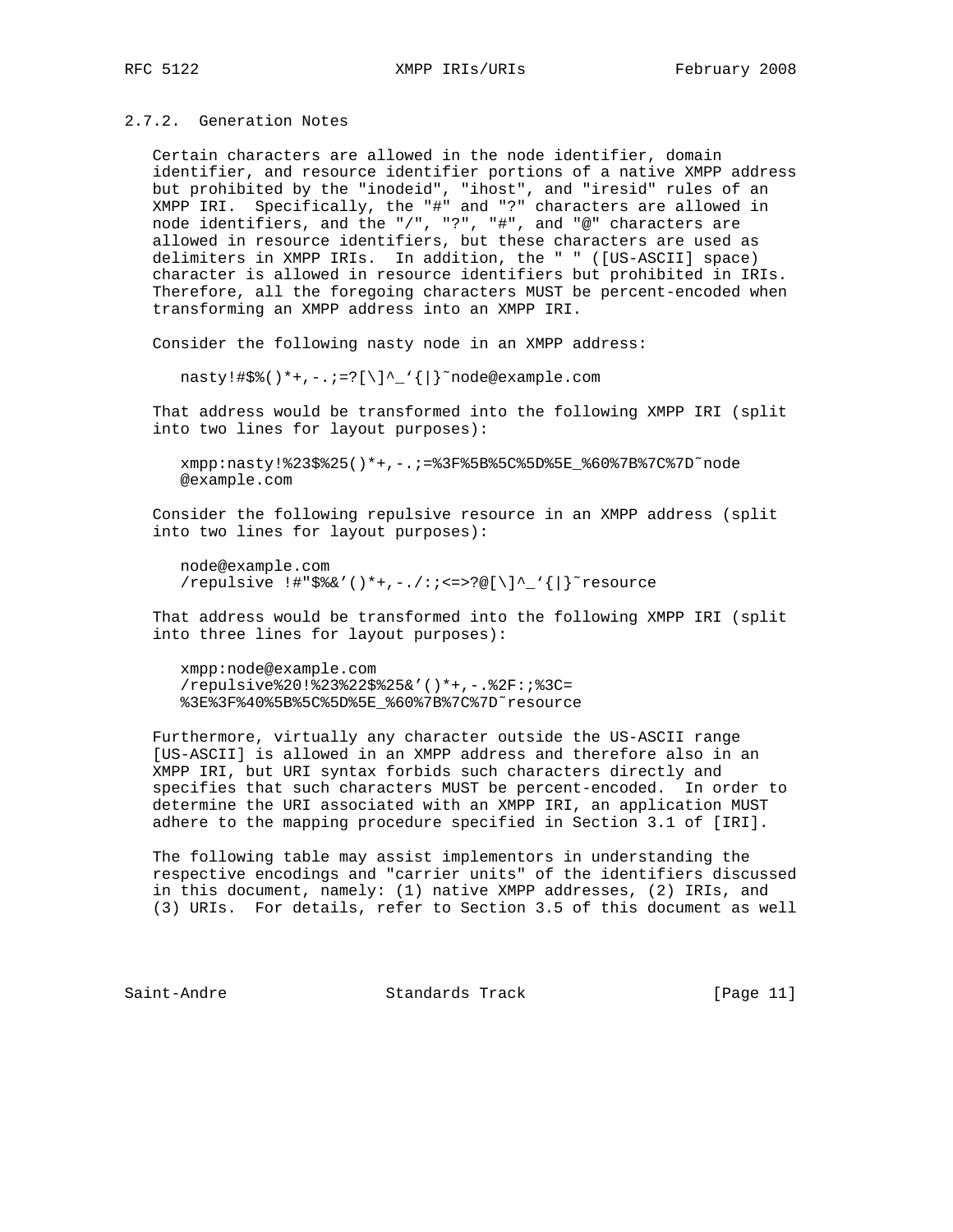### 2.7.2. Generation Notes

 Certain characters are allowed in the node identifier, domain identifier, and resource identifier portions of a native XMPP address but prohibited by the "inodeid", "ihost", and "iresid" rules of an XMPP IRI. Specifically, the "#" and "?" characters are allowed in node identifiers, and the "/", "?", "#", and "@" characters are allowed in resource identifiers, but these characters are used as delimiters in XMPP IRIs. In addition, the " " ([US-ASCII] space) character is allowed in resource identifiers but prohibited in IRIs. Therefore, all the foregoing characters MUST be percent-encoded when transforming an XMPP address into an XMPP IRI.

Consider the following nasty node in an XMPP address:

nasty!#\$%()\*+,-.;=?[\]^\_'{|}˜node@example.com

That address would be transformed into the following XMPP IRI (split into two lines for layout purposes):

 xmpp:nasty!%23\$%25()\*+,-.;=%3F%5B%5C%5D%5E\_%60%7B%7C%7D˜node @example.com

 Consider the following repulsive resource in an XMPP address (split into two lines for layout purposes):

```
 node@example.com
 /repulsive !#"$%&'()*+,-./:;<=>?@[\]^_'{|}˜resource
```
 That address would be transformed into the following XMPP IRI (split into three lines for layout purposes):

 xmpp:node@example.com /repulsive%20!%23%22\$%25&'()\*+,-.%2F:;%3C= %3E%3F%40%5B%5C%5D%5E\_%60%7B%7C%7D˜resource

 Furthermore, virtually any character outside the US-ASCII range [US-ASCII] is allowed in an XMPP address and therefore also in an XMPP IRI, but URI syntax forbids such characters directly and specifies that such characters MUST be percent-encoded. In order to determine the URI associated with an XMPP IRI, an application MUST adhere to the mapping procedure specified in Section 3.1 of [IRI].

 The following table may assist implementors in understanding the respective encodings and "carrier units" of the identifiers discussed in this document, namely: (1) native XMPP addresses, (2) IRIs, and (3) URIs. For details, refer to Section 3.5 of this document as well

Saint-Andre Standards Track [Page 11]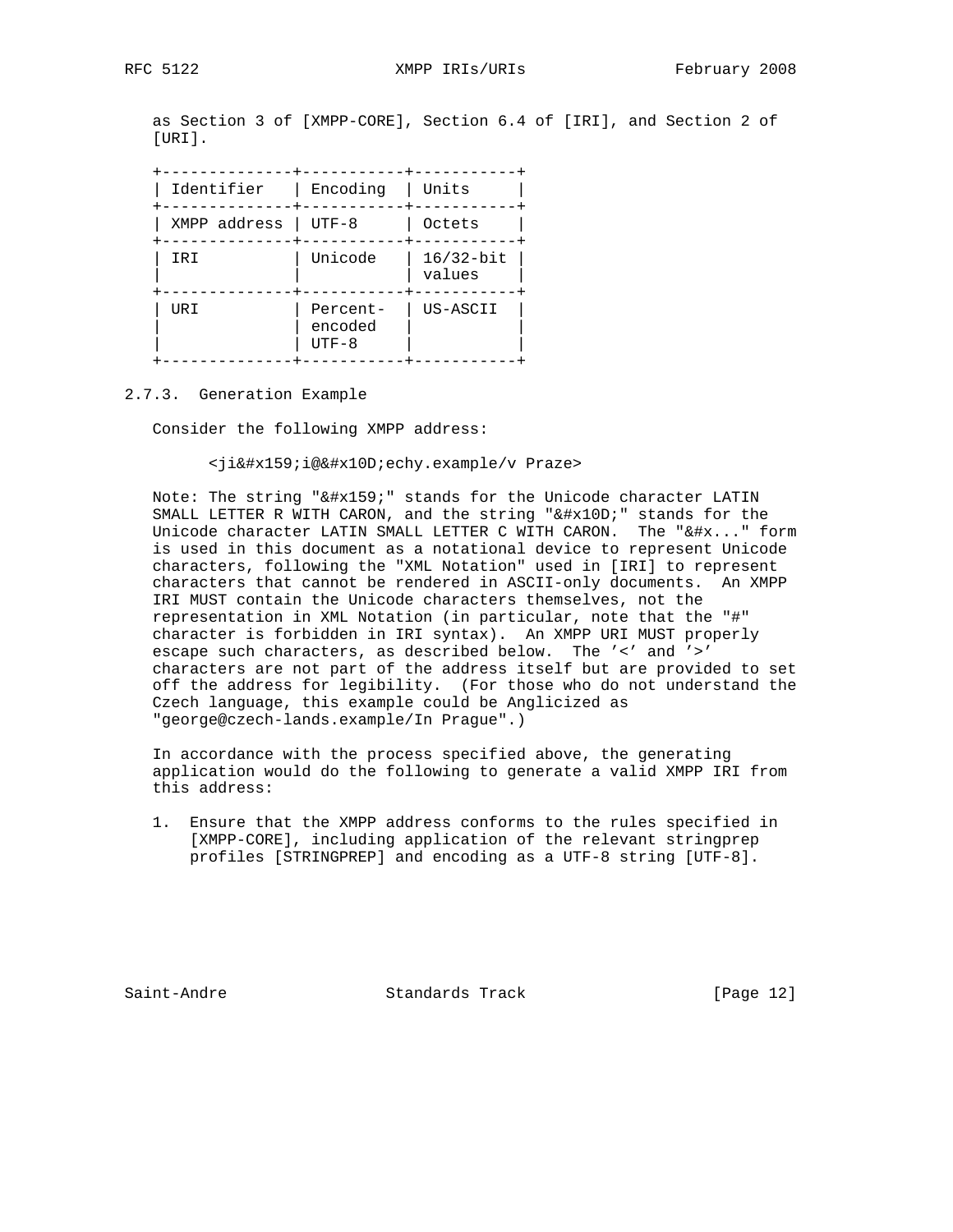as Section 3 of [XMPP-CORE], Section 6.4 of [IRI], and Section 2 of [URI].

 +--------------+-----------+-----------+ | Identifier | Encoding | Units | +--------------+-----------+-----------+ | XMPP address | UTF-8 | Octets | +--------------+-----------+-----------+ | IRI | Unicode | 16/32-bit | | | | values | +--------------+-----------+-----------+ | URI | Percent- | US-ASCII | | | encoded | |  $|$  UTF-8  $|$ +--------------+-----------+-----------+

2.7.3. Generation Example

Consider the following XMPP address:

<ji&#x159;i@&#x10D;echy.example/v Praze>

Note: The string "ř" stands for the Unicode character LATIN SMALL LETTER R WITH CARON, and the string "č" stands for the Unicode character LATIN SMALL LETTER C WITH CARON. The "&#x..." form is used in this document as a notational device to represent Unicode characters, following the "XML Notation" used in [IRI] to represent characters that cannot be rendered in ASCII-only documents. An XMPP IRI MUST contain the Unicode characters themselves, not the representation in XML Notation (in particular, note that the "#" character is forbidden in IRI syntax). An XMPP URI MUST properly escape such characters, as described below. The '<' and '>' characters are not part of the address itself but are provided to set off the address for legibility. (For those who do not understand the Czech language, this example could be Anglicized as "george@czech-lands.example/In Prague".)

 In accordance with the process specified above, the generating application would do the following to generate a valid XMPP IRI from this address:

 1. Ensure that the XMPP address conforms to the rules specified in [XMPP-CORE], including application of the relevant stringprep profiles [STRINGPREP] and encoding as a UTF-8 string [UTF-8].

Saint-Andre Standards Track [Page 12]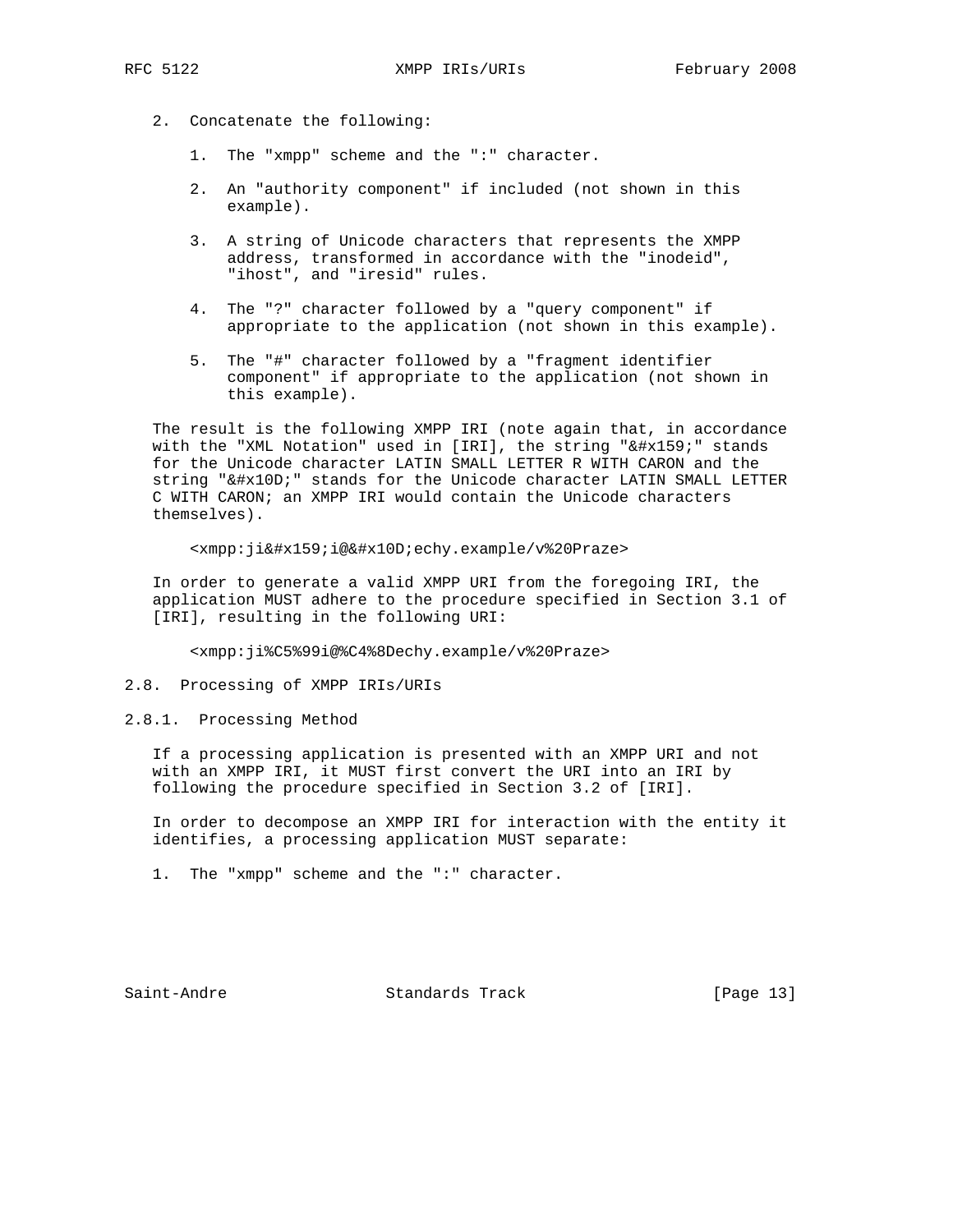- 2. Concatenate the following:
	- 1. The "xmpp" scheme and the ":" character.
	- 2. An "authority component" if included (not shown in this example).
	- 3. A string of Unicode characters that represents the XMPP address, transformed in accordance with the "inodeid", "ihost", and "iresid" rules.
	- 4. The "?" character followed by a "query component" if appropriate to the application (not shown in this example).
	- 5. The "#" character followed by a "fragment identifier component" if appropriate to the application (not shown in this example).

 The result is the following XMPP IRI (note again that, in accordance with the "XML Notation" used in [IRI], the string "ř" stands for the Unicode character LATIN SMALL LETTER R WITH CARON and the string "č" stands for the Unicode character LATIN SMALL LETTER C WITH CARON; an XMPP IRI would contain the Unicode characters themselves).

<xmpp: ji&#x159;i@&#x10D;echy.example/v%20Praze>

 In order to generate a valid XMPP URI from the foregoing IRI, the application MUST adhere to the procedure specified in Section 3.1 of [IRI], resulting in the following URI:

<xmpp:ji%C5%99i@%C4%8Dechy.example/v%20Praze>

2.8. Processing of XMPP IRIs/URIs

2.8.1. Processing Method

 If a processing application is presented with an XMPP URI and not with an XMPP IRI, it MUST first convert the URI into an IRI by following the procedure specified in Section 3.2 of [IRI].

 In order to decompose an XMPP IRI for interaction with the entity it identifies, a processing application MUST separate:

1. The "xmpp" scheme and the ":" character.

Saint-Andre Standards Track [Page 13]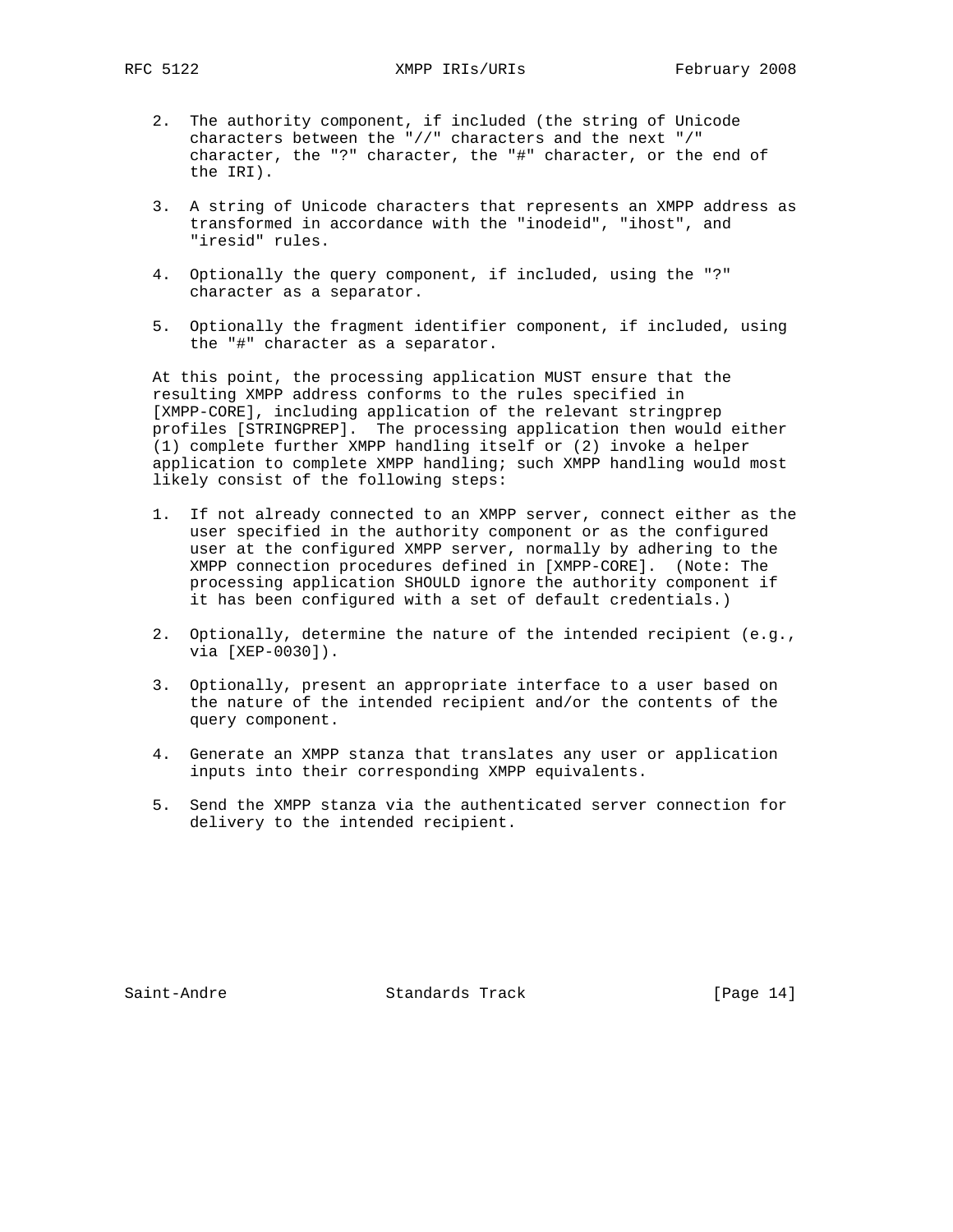- 2. The authority component, if included (the string of Unicode characters between the "//" characters and the next "/" character, the "?" character, the "#" character, or the end of the IRI).
- 3. A string of Unicode characters that represents an XMPP address as transformed in accordance with the "inodeid", "ihost", and "iresid" rules.
- 4. Optionally the query component, if included, using the "?" character as a separator.
- 5. Optionally the fragment identifier component, if included, using the "#" character as a separator.

 At this point, the processing application MUST ensure that the resulting XMPP address conforms to the rules specified in [XMPP-CORE], including application of the relevant stringprep profiles [STRINGPREP]. The processing application then would either (1) complete further XMPP handling itself or (2) invoke a helper application to complete XMPP handling; such XMPP handling would most likely consist of the following steps:

- 1. If not already connected to an XMPP server, connect either as the user specified in the authority component or as the configured user at the configured XMPP server, normally by adhering to the XMPP connection procedures defined in [XMPP-CORE]. (Note: The processing application SHOULD ignore the authority component if it has been configured with a set of default credentials.)
- 2. Optionally, determine the nature of the intended recipient (e.g., via [XEP-0030]).
- 3. Optionally, present an appropriate interface to a user based on the nature of the intended recipient and/or the contents of the query component.
- 4. Generate an XMPP stanza that translates any user or application inputs into their corresponding XMPP equivalents.
- 5. Send the XMPP stanza via the authenticated server connection for delivery to the intended recipient.

Saint-Andre Standards Track [Page 14]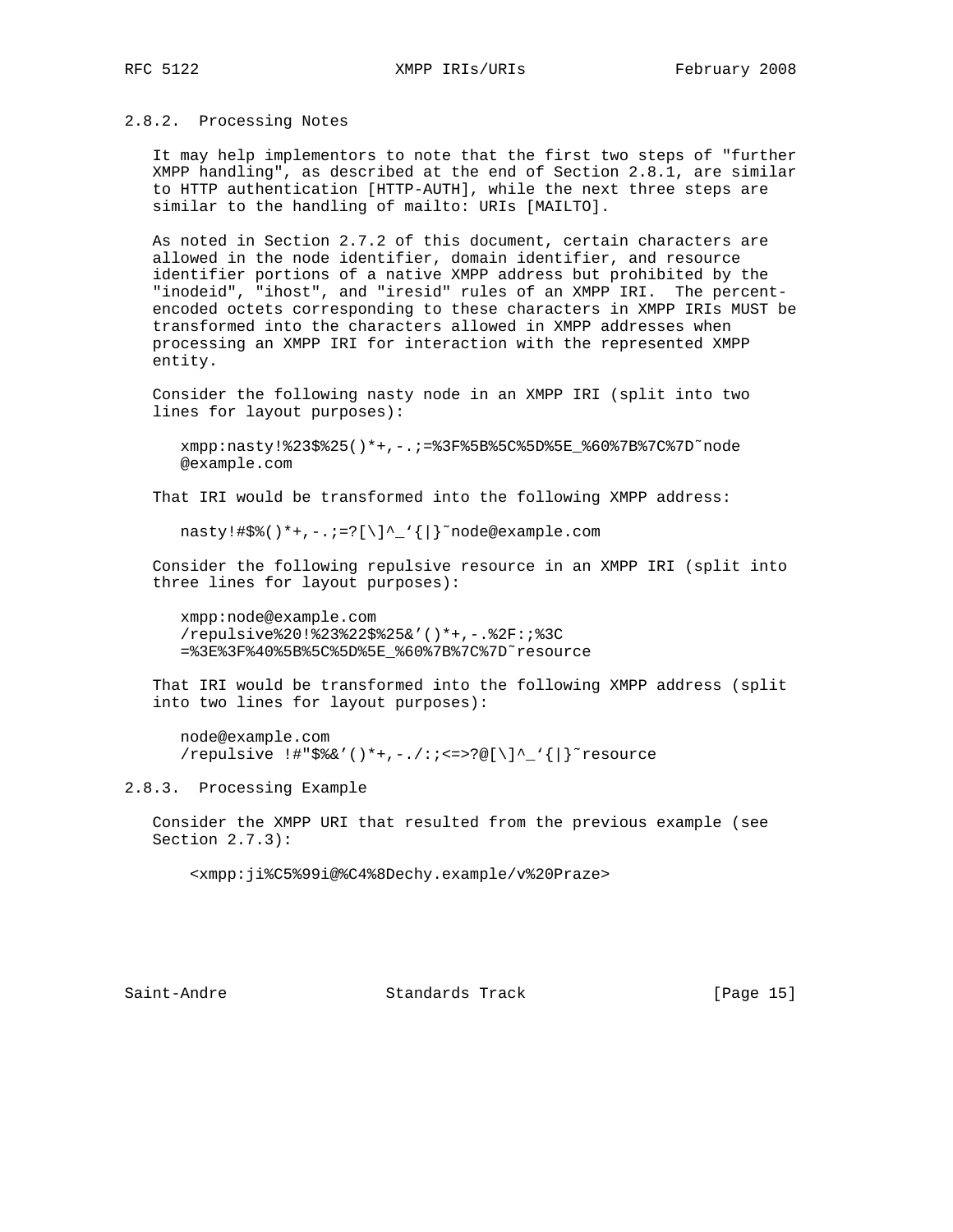# 2.8.2. Processing Notes

 It may help implementors to note that the first two steps of "further XMPP handling", as described at the end of Section 2.8.1, are similar to HTTP authentication [HTTP-AUTH], while the next three steps are similar to the handling of mailto: URIs [MAILTO].

 As noted in Section 2.7.2 of this document, certain characters are allowed in the node identifier, domain identifier, and resource identifier portions of a native XMPP address but prohibited by the "inodeid", "ihost", and "iresid" rules of an XMPP IRI. The percent encoded octets corresponding to these characters in XMPP IRIs MUST be transformed into the characters allowed in XMPP addresses when processing an XMPP IRI for interaction with the represented XMPP entity.

 Consider the following nasty node in an XMPP IRI (split into two lines for layout purposes):

 xmpp:nasty!%23\$%25()\*+,-.;=%3F%5B%5C%5D%5E\_%60%7B%7C%7D˜node @example.com

That IRI would be transformed into the following XMPP address:

nasty!#\$%()\*+,-.;=?[\]^\_'{|}˜node@example.com

 Consider the following repulsive resource in an XMPP IRI (split into three lines for layout purposes):

 xmpp:node@example.com /repulsive%20!%23%22\$%25&'()\*+,-.%2F:;%3C =%3E%3F%40%5B%5C%5D%5E\_%60%7B%7C%7D˜resource

 That IRI would be transformed into the following XMPP address (split into two lines for layout purposes):

 node@example.com /repulsive  $!$  #"\$%&'()\*+,-./:;<=>?@[\]^\_'{|}~resource

2.8.3. Processing Example

 Consider the XMPP URI that resulted from the previous example (see Section 2.7.3):

<xmpp:ji%C5%99i@%C4%8Dechy.example/v%20Praze>

Saint-Andre Standards Track [Page 15]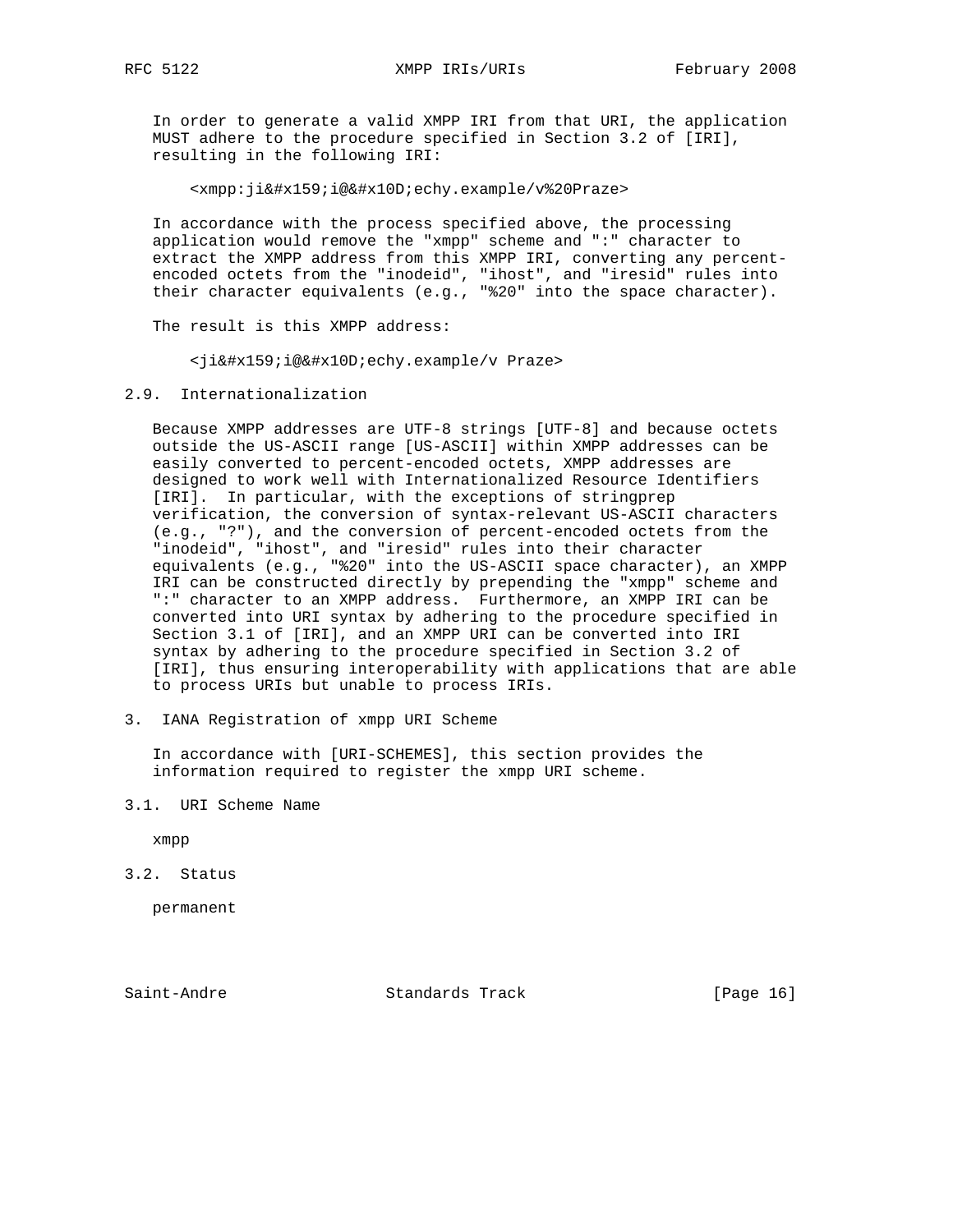In order to generate a valid XMPP IRI from that URI, the application MUST adhere to the procedure specified in Section 3.2 of [IRI], resulting in the following IRI:

<xmpp: ji&#x159;i@&#x10D;echy.example/v%20Praze>

 In accordance with the process specified above, the processing application would remove the "xmpp" scheme and ":" character to extract the XMPP address from this XMPP IRI, converting any percent encoded octets from the "inodeid", "ihost", and "iresid" rules into their character equivalents (e.g., "%20" into the space character).

The result is this XMPP address:

<ji&#x159;i@&#x10D;echy.example/v Praze>

2.9. Internationalization

 Because XMPP addresses are UTF-8 strings [UTF-8] and because octets outside the US-ASCII range [US-ASCII] within XMPP addresses can be easily converted to percent-encoded octets, XMPP addresses are designed to work well with Internationalized Resource Identifiers [IRI]. In particular, with the exceptions of stringprep verification, the conversion of syntax-relevant US-ASCII characters (e.g., "?"), and the conversion of percent-encoded octets from the "inodeid", "ihost", and "iresid" rules into their character equivalents (e.g., "%20" into the US-ASCII space character), an XMPP IRI can be constructed directly by prepending the "xmpp" scheme and ":" character to an XMPP address. Furthermore, an XMPP IRI can be converted into URI syntax by adhering to the procedure specified in Section 3.1 of [IRI], and an XMPP URI can be converted into IRI syntax by adhering to the procedure specified in Section 3.2 of [IRI], thus ensuring interoperability with applications that are able to process URIs but unable to process IRIs.

3. IANA Registration of xmpp URI Scheme

 In accordance with [URI-SCHEMES], this section provides the information required to register the xmpp URI scheme.

3.1. URI Scheme Name

xmpp

3.2. Status

permanent

Saint-Andre Standards Track [Page 16]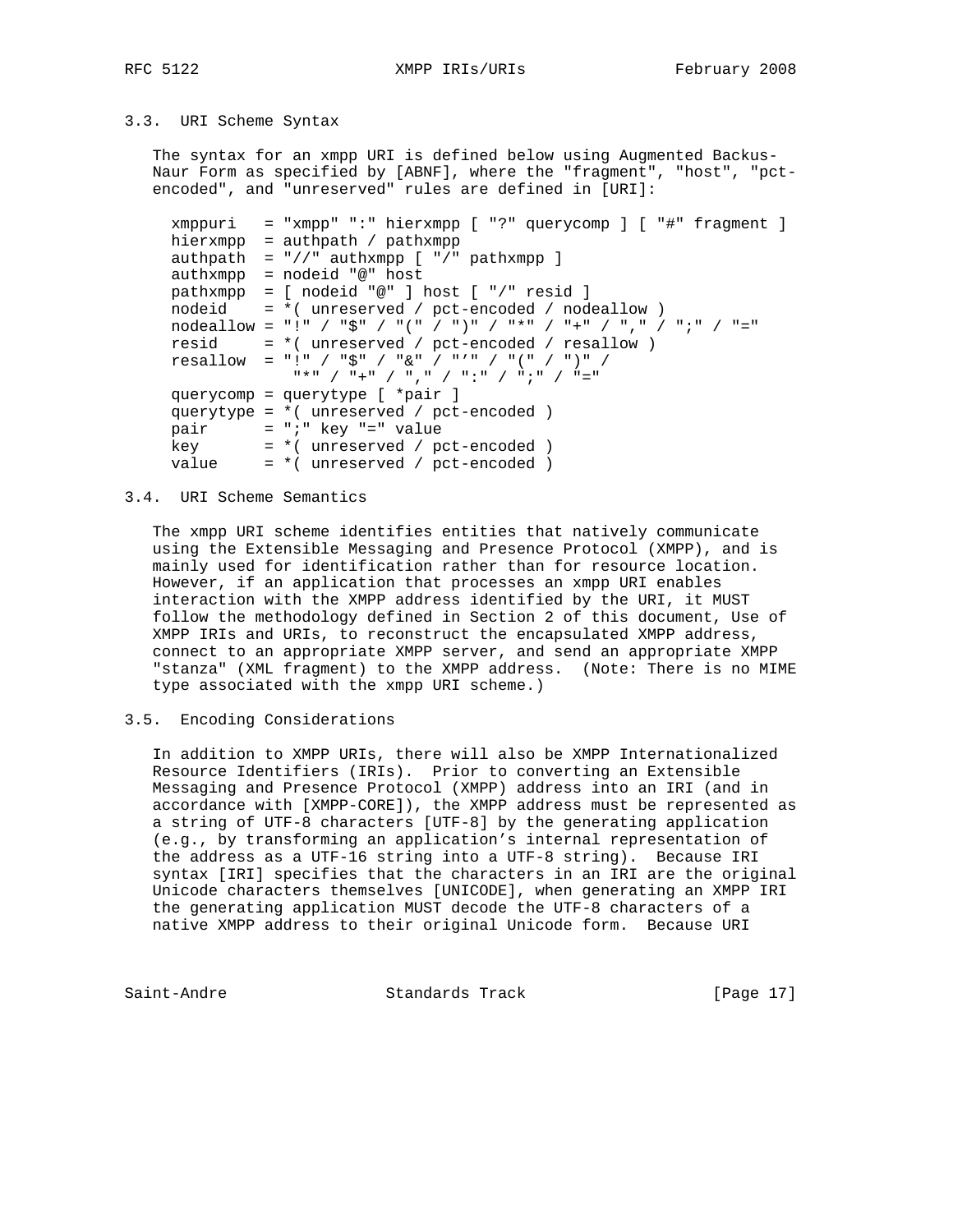RFC 5122 XMPP IRIs/URIS February 2008

#### 3.3. URI Scheme Syntax

 The syntax for an xmpp URI is defined below using Augmented Backus- Naur Form as specified by [ABNF], where the "fragment", "host", "pct encoded", and "unreserved" rules are defined in [URI]:

 xmppuri = "xmpp" ":" hierxmpp [ "?" querycomp ] [ "#" fragment ] hierxmpp = authpath / pathxmpp authpath =  $\sqrt{7}$  authxmpp  $\lceil$  "/" pathxmpp  $\rfloor$  authxmpp = nodeid "@" host pathxmpp = [ nodeid "@" ] host [ "/" resid ] nodeid =  $*($  unreserved / pct-encoded / nodeallow ) nodeallow = "!" / "\$" / "(" / ")" / "\*" / "+" / "," / ";" / "=" resid = \*( unreserved / pct-encoded / resallow ) resallow = "!" / "\$" / "&" / "'" / "(" / ")" / "\*" / "+" / "," / ":" / ";" / "=" querycomp = querytype [ \*pair ] querytype = \*( unreserved / pct-encoded ) pair  $= "i" key "=" value"$  key = \*( unreserved / pct-encoded ) value = \*( unreserved / pct-encoded )

#### 3.4. URI Scheme Semantics

 The xmpp URI scheme identifies entities that natively communicate using the Extensible Messaging and Presence Protocol (XMPP), and is mainly used for identification rather than for resource location. However, if an application that processes an xmpp URI enables interaction with the XMPP address identified by the URI, it MUST follow the methodology defined in Section 2 of this document, Use of XMPP IRIs and URIs, to reconstruct the encapsulated XMPP address, connect to an appropriate XMPP server, and send an appropriate XMPP "stanza" (XML fragment) to the XMPP address. (Note: There is no MIME type associated with the xmpp URI scheme.)

### 3.5. Encoding Considerations

 In addition to XMPP URIs, there will also be XMPP Internationalized Resource Identifiers (IRIs). Prior to converting an Extensible Messaging and Presence Protocol (XMPP) address into an IRI (and in accordance with [XMPP-CORE]), the XMPP address must be represented as a string of UTF-8 characters [UTF-8] by the generating application (e.g., by transforming an application's internal representation of the address as a UTF-16 string into a UTF-8 string). Because IRI syntax [IRI] specifies that the characters in an IRI are the original Unicode characters themselves [UNICODE], when generating an XMPP IRI the generating application MUST decode the UTF-8 characters of a native XMPP address to their original Unicode form. Because URI

Saint-Andre Standards Track [Page 17]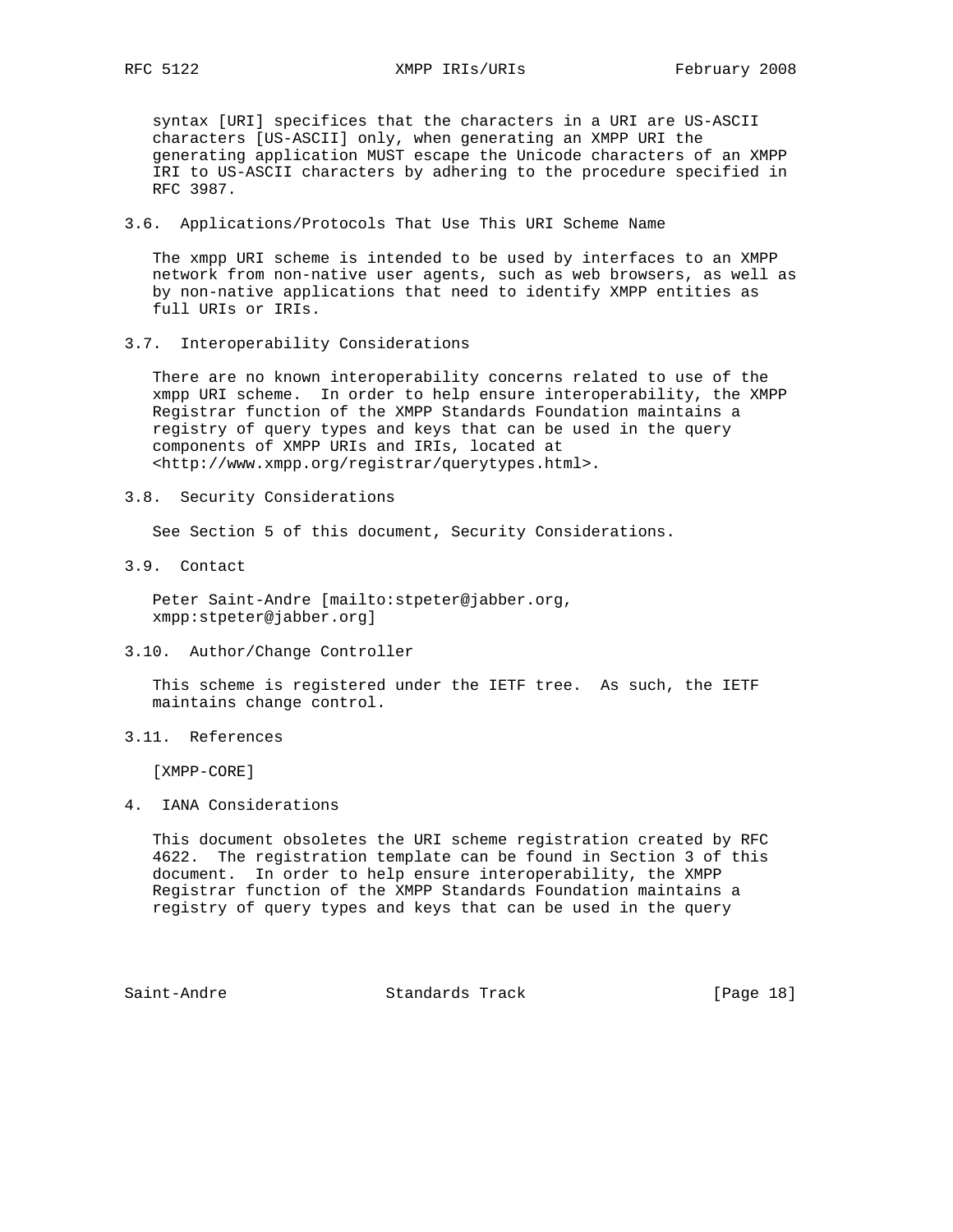syntax [URI] specifices that the characters in a URI are US-ASCII characters [US-ASCII] only, when generating an XMPP URI the generating application MUST escape the Unicode characters of an XMPP IRI to US-ASCII characters by adhering to the procedure specified in RFC 3987.

#### 3.6. Applications/Protocols That Use This URI Scheme Name

 The xmpp URI scheme is intended to be used by interfaces to an XMPP network from non-native user agents, such as web browsers, as well as by non-native applications that need to identify XMPP entities as full URIs or IRIs.

3.7. Interoperability Considerations

 There are no known interoperability concerns related to use of the xmpp URI scheme. In order to help ensure interoperability, the XMPP Registrar function of the XMPP Standards Foundation maintains a registry of query types and keys that can be used in the query components of XMPP URIs and IRIs, located at <http://www.xmpp.org/registrar/querytypes.html>.

3.8. Security Considerations

See Section 5 of this document, Security Considerations.

3.9. Contact

 Peter Saint-Andre [mailto:stpeter@jabber.org, xmpp:stpeter@jabber.org]

3.10. Author/Change Controller

 This scheme is registered under the IETF tree. As such, the IETF maintains change control.

3.11. References

[XMPP-CORE]

4. IANA Considerations

 This document obsoletes the URI scheme registration created by RFC 4622. The registration template can be found in Section 3 of this document. In order to help ensure interoperability, the XMPP Registrar function of the XMPP Standards Foundation maintains a registry of query types and keys that can be used in the query

Saint-Andre Standards Track [Page 18]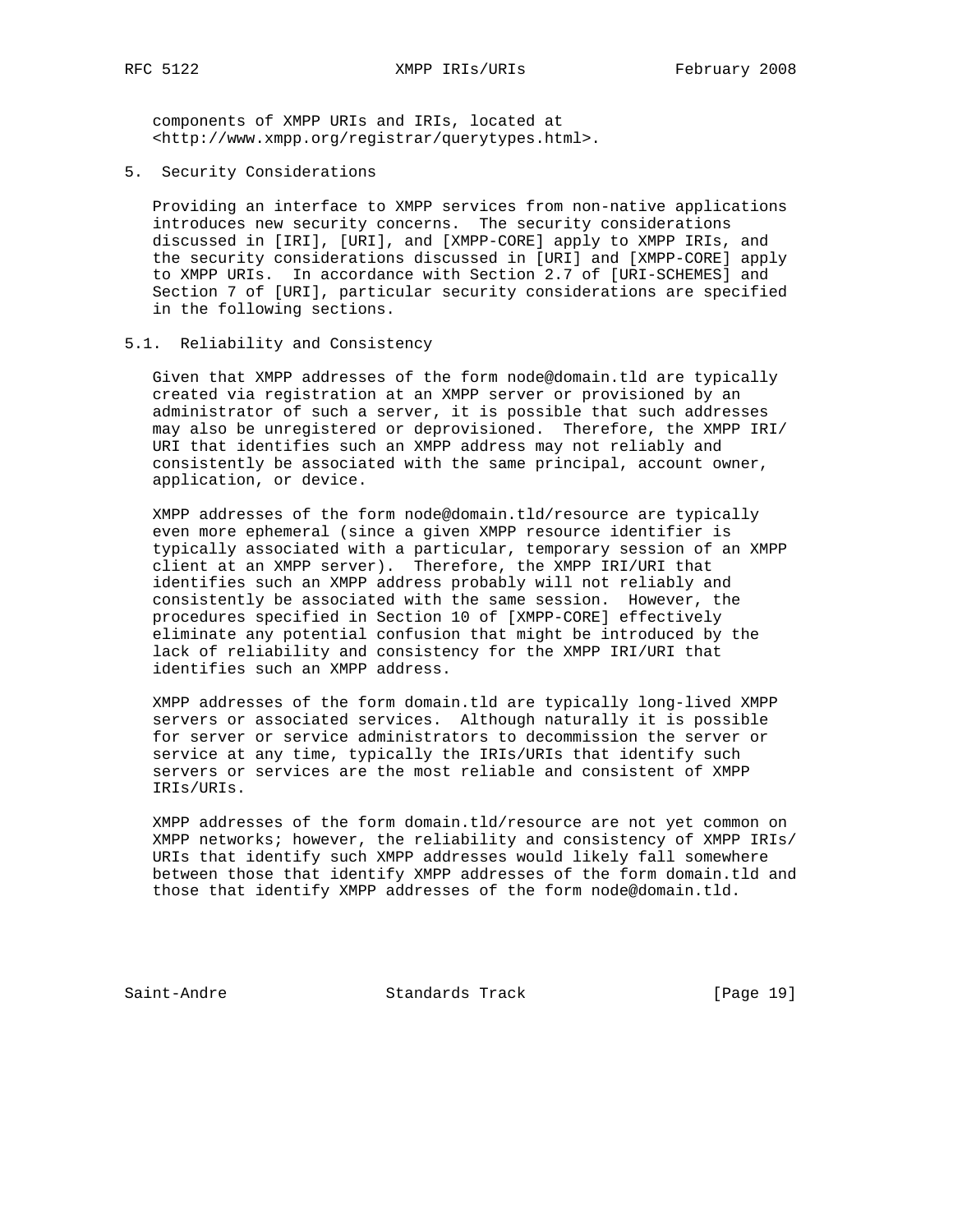components of XMPP URIs and IRIs, located at <http://www.xmpp.org/registrar/querytypes.html>.

5. Security Considerations

 Providing an interface to XMPP services from non-native applications introduces new security concerns. The security considerations discussed in [IRI], [URI], and [XMPP-CORE] apply to XMPP IRIs, and the security considerations discussed in [URI] and [XMPP-CORE] apply to XMPP URIs. In accordance with Section 2.7 of [URI-SCHEMES] and Section 7 of [URI], particular security considerations are specified in the following sections.

#### 5.1. Reliability and Consistency

 Given that XMPP addresses of the form node@domain.tld are typically created via registration at an XMPP server or provisioned by an administrator of such a server, it is possible that such addresses may also be unregistered or deprovisioned. Therefore, the XMPP IRI/ URI that identifies such an XMPP address may not reliably and consistently be associated with the same principal, account owner, application, or device.

 XMPP addresses of the form node@domain.tld/resource are typically even more ephemeral (since a given XMPP resource identifier is typically associated with a particular, temporary session of an XMPP client at an XMPP server). Therefore, the XMPP IRI/URI that identifies such an XMPP address probably will not reliably and consistently be associated with the same session. However, the procedures specified in Section 10 of [XMPP-CORE] effectively eliminate any potential confusion that might be introduced by the lack of reliability and consistency for the XMPP IRI/URI that identifies such an XMPP address.

 XMPP addresses of the form domain.tld are typically long-lived XMPP servers or associated services. Although naturally it is possible for server or service administrators to decommission the server or service at any time, typically the IRIs/URIs that identify such servers or services are the most reliable and consistent of XMPP IRIs/URIs.

 XMPP addresses of the form domain.tld/resource are not yet common on XMPP networks; however, the reliability and consistency of XMPP IRIs/ URIs that identify such XMPP addresses would likely fall somewhere between those that identify XMPP addresses of the form domain.tld and those that identify XMPP addresses of the form node@domain.tld.

Saint-Andre Standards Track [Page 19]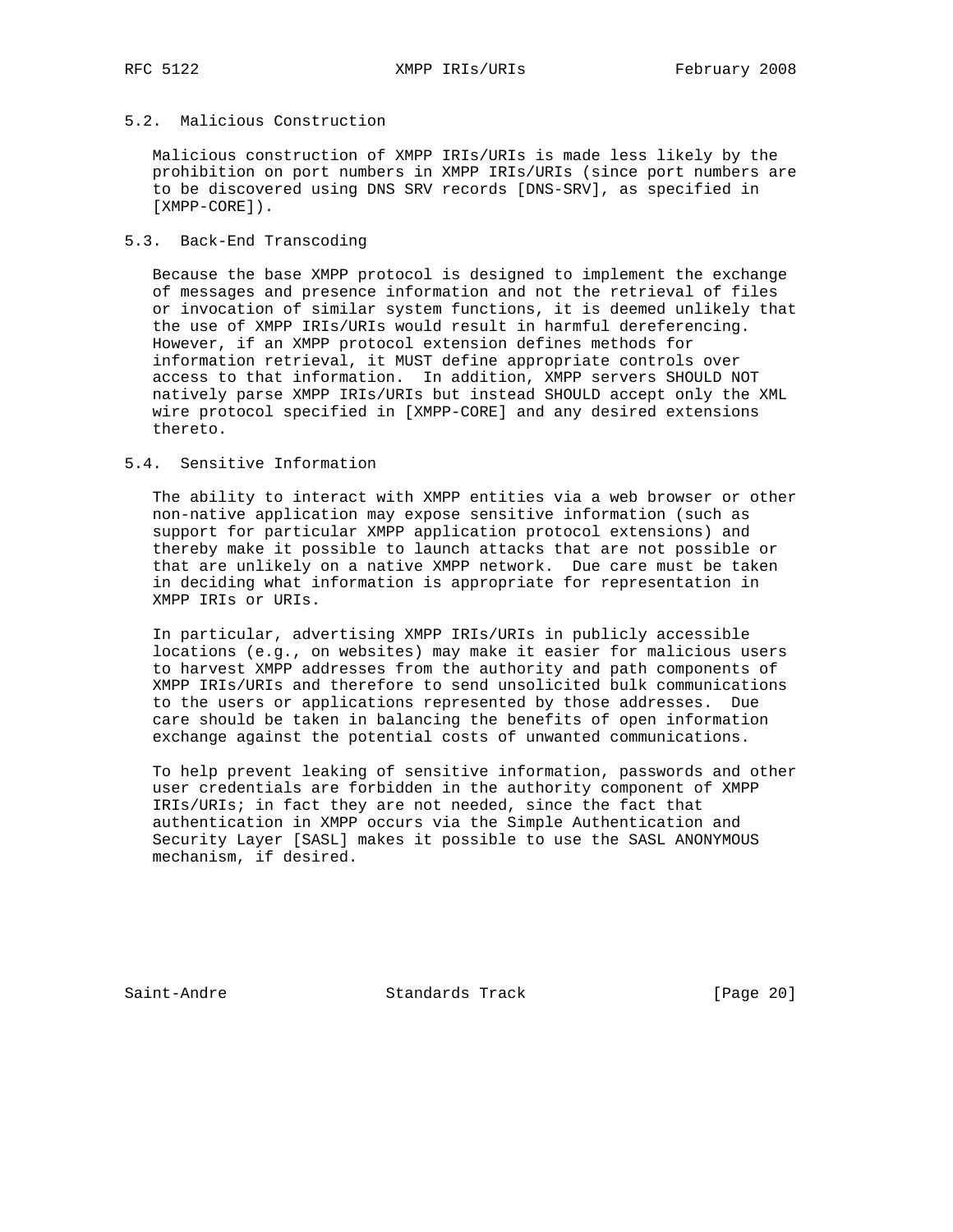# 5.2. Malicious Construction

 Malicious construction of XMPP IRIs/URIs is made less likely by the prohibition on port numbers in XMPP IRIs/URIs (since port numbers are to be discovered using DNS SRV records [DNS-SRV], as specified in [XMPP-CORE]).

### 5.3. Back-End Transcoding

 Because the base XMPP protocol is designed to implement the exchange of messages and presence information and not the retrieval of files or invocation of similar system functions, it is deemed unlikely that the use of XMPP IRIs/URIs would result in harmful dereferencing. However, if an XMPP protocol extension defines methods for information retrieval, it MUST define appropriate controls over access to that information. In addition, XMPP servers SHOULD NOT natively parse XMPP IRIs/URIs but instead SHOULD accept only the XML wire protocol specified in [XMPP-CORE] and any desired extensions thereto.

#### 5.4. Sensitive Information

 The ability to interact with XMPP entities via a web browser or other non-native application may expose sensitive information (such as support for particular XMPP application protocol extensions) and thereby make it possible to launch attacks that are not possible or that are unlikely on a native XMPP network. Due care must be taken in deciding what information is appropriate for representation in XMPP IRIs or URIs.

 In particular, advertising XMPP IRIs/URIs in publicly accessible locations (e.g., on websites) may make it easier for malicious users to harvest XMPP addresses from the authority and path components of XMPP IRIs/URIs and therefore to send unsolicited bulk communications to the users or applications represented by those addresses. Due care should be taken in balancing the benefits of open information exchange against the potential costs of unwanted communications.

 To help prevent leaking of sensitive information, passwords and other user credentials are forbidden in the authority component of XMPP IRIs/URIs; in fact they are not needed, since the fact that authentication in XMPP occurs via the Simple Authentication and Security Layer [SASL] makes it possible to use the SASL ANONYMOUS mechanism, if desired.

Saint-Andre Standards Track [Page 20]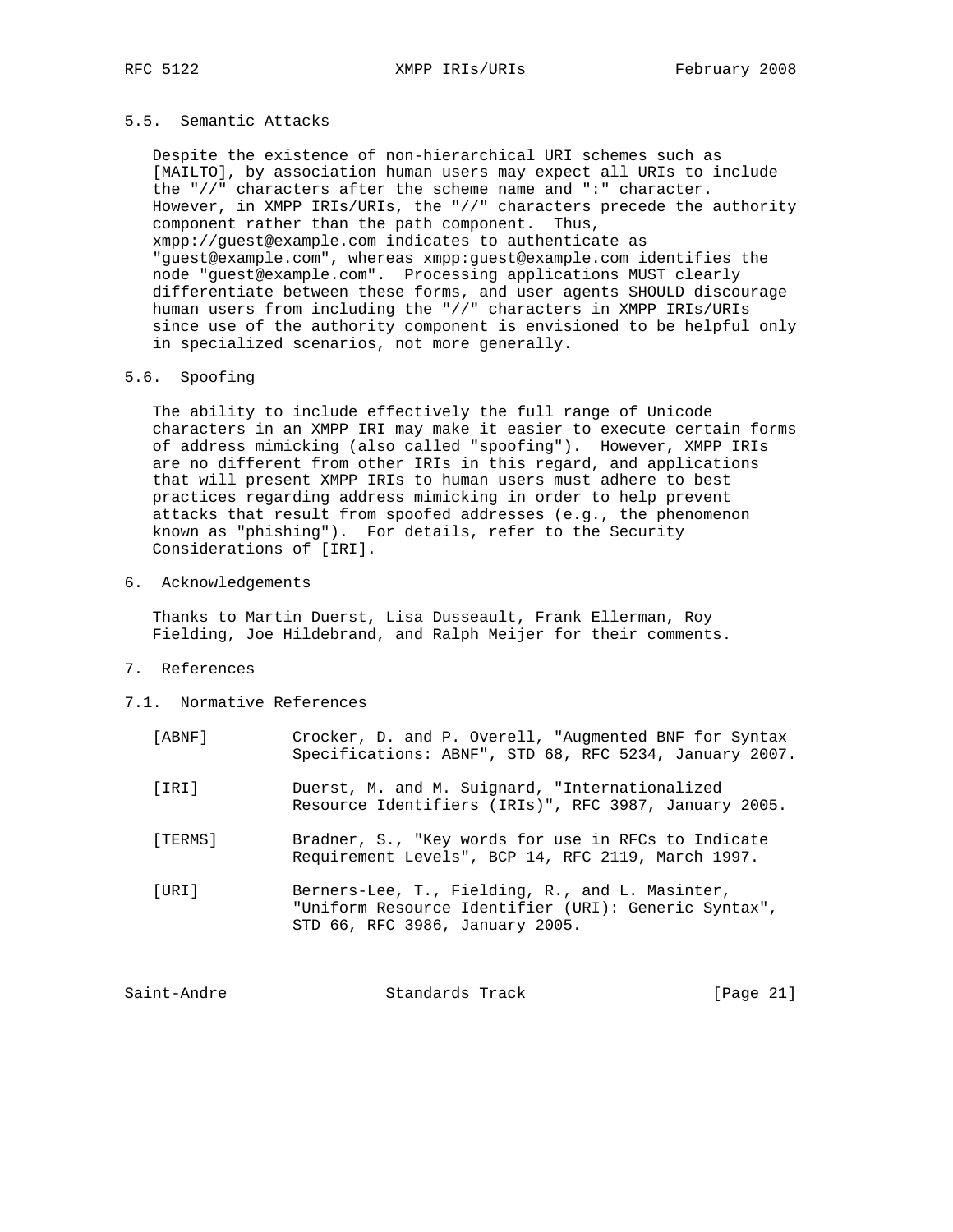## 5.5. Semantic Attacks

 Despite the existence of non-hierarchical URI schemes such as [MAILTO], by association human users may expect all URIs to include the "//" characters after the scheme name and ":" character. However, in XMPP IRIs/URIs, the "//" characters precede the authority component rather than the path component. Thus, xmpp://guest@example.com indicates to authenticate as "guest@example.com", whereas xmpp:guest@example.com identifies the node "guest@example.com". Processing applications MUST clearly differentiate between these forms, and user agents SHOULD discourage human users from including the "//" characters in XMPP IRIs/URIs since use of the authority component is envisioned to be helpful only in specialized scenarios, not more generally.

#### 5.6. Spoofing

 The ability to include effectively the full range of Unicode characters in an XMPP IRI may make it easier to execute certain forms of address mimicking (also called "spoofing"). However, XMPP IRIs are no different from other IRIs in this regard, and applications that will present XMPP IRIs to human users must adhere to best practices regarding address mimicking in order to help prevent attacks that result from spoofed addresses (e.g., the phenomenon known as "phishing"). For details, refer to the Security Considerations of [IRI].

6. Acknowledgements

 Thanks to Martin Duerst, Lisa Dusseault, Frank Ellerman, Roy Fielding, Joe Hildebrand, and Ralph Meijer for their comments.

7. References

### 7.1. Normative References

| [ABNF]  | Crocker, D. and P. Overell, "Augmented BNF for Syntax<br>Specifications: ABNF", STD 68, RFC 5234, January 2007. |
|---------|-----------------------------------------------------------------------------------------------------------------|
| [IRI]   | Duerst, M. and M. Suignard, "Internationalized<br>Resource Identifiers (IRIs)", RFC 3987, January 2005.         |
| [TERMS] | Bradner, S., "Key words for use in RFCs to Indicate<br>Requirement Levels", BCP 14, RFC 2119, March 1997.       |
| [URI]   | Berners-Lee, T., Fielding, R., and L. Masinter,<br>"Uniform Resource Identifier (URI): Generic Syntax",         |

Saint-Andre Standards Track [Page 21]

STD 66, RFC 3986, January 2005.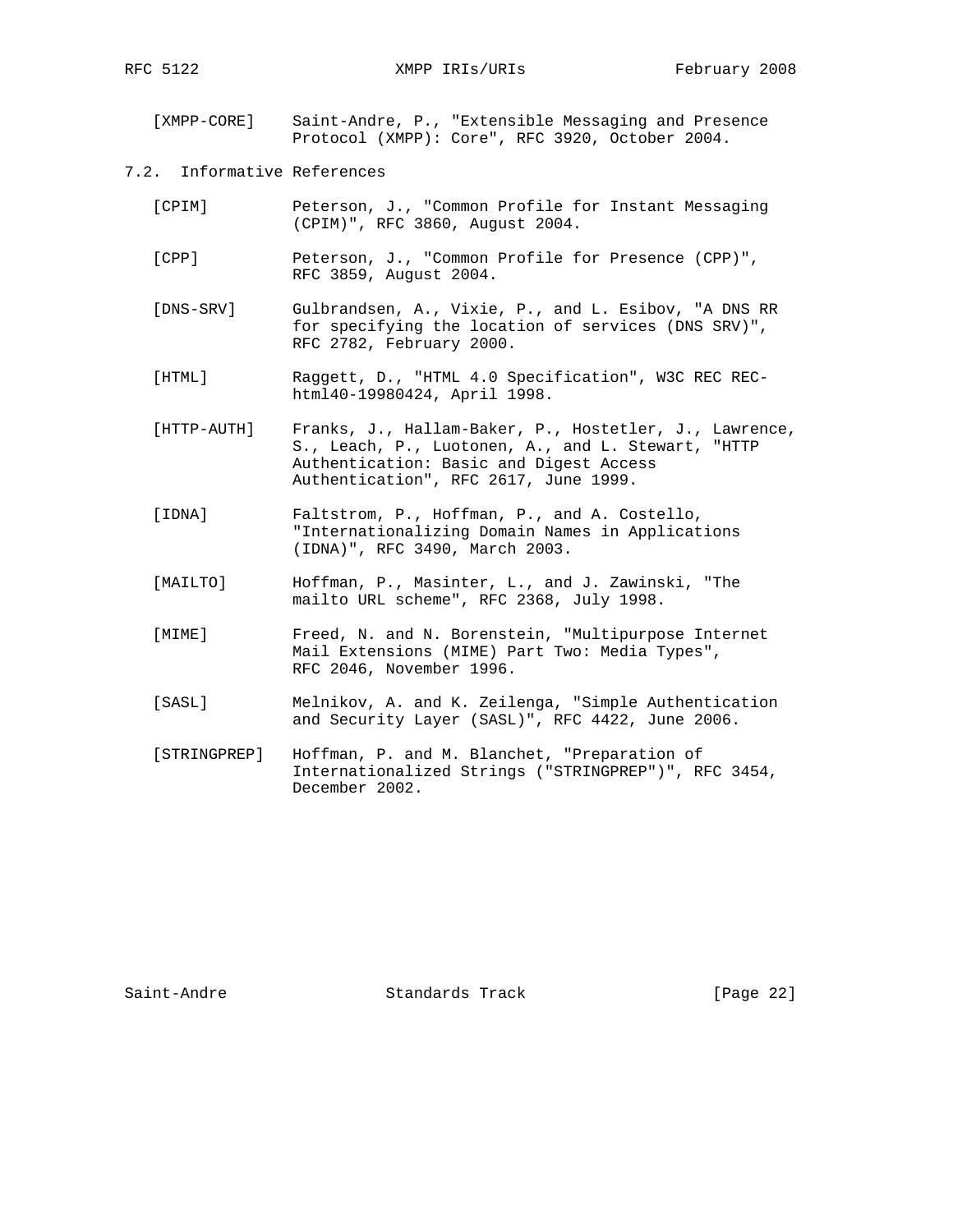RFC 5122 XMPP IRIs/URIS February 2008

 [XMPP-CORE] Saint-Andre, P., "Extensible Messaging and Presence Protocol (XMPP): Core", RFC 3920, October 2004.

7.2. Informative References

| [CPIM] |                                 |  |  |  | Peterson, J., "Common Profile for Instant Messaging |
|--------|---------------------------------|--|--|--|-----------------------------------------------------|
|        | (CPIM)", RFC 3860, August 2004. |  |  |  |                                                     |

- [CPP] Peterson, J., "Common Profile for Presence (CPP)", RFC 3859, August 2004.
- [DNS-SRV] Gulbrandsen, A., Vixie, P., and L. Esibov, "A DNS RR for specifying the location of services (DNS SRV)", RFC 2782, February 2000.
- [HTML] Raggett, D., "HTML 4.0 Specification", W3C REC REC html40-19980424, April 1998.
- [HTTP-AUTH] Franks, J., Hallam-Baker, P., Hostetler, J., Lawrence, S., Leach, P., Luotonen, A., and L. Stewart, "HTTP Authentication: Basic and Digest Access Authentication", RFC 2617, June 1999.
- [IDNA] Faltstrom, P., Hoffman, P., and A. Costello, "Internationalizing Domain Names in Applications (IDNA)", RFC 3490, March 2003.
- [MAILTO] Hoffman, P., Masinter, L., and J. Zawinski, "The mailto URL scheme", RFC 2368, July 1998.
- [MIME] Freed, N. and N. Borenstein, "Multipurpose Internet Mail Extensions (MIME) Part Two: Media Types", RFC 2046, November 1996.
- [SASL] Melnikov, A. and K. Zeilenga, "Simple Authentication and Security Layer (SASL)", RFC 4422, June 2006.
- [STRINGPREP] Hoffman, P. and M. Blanchet, "Preparation of Internationalized Strings ("STRINGPREP")", RFC 3454, December 2002.

Saint-Andre Standards Track [Page 22]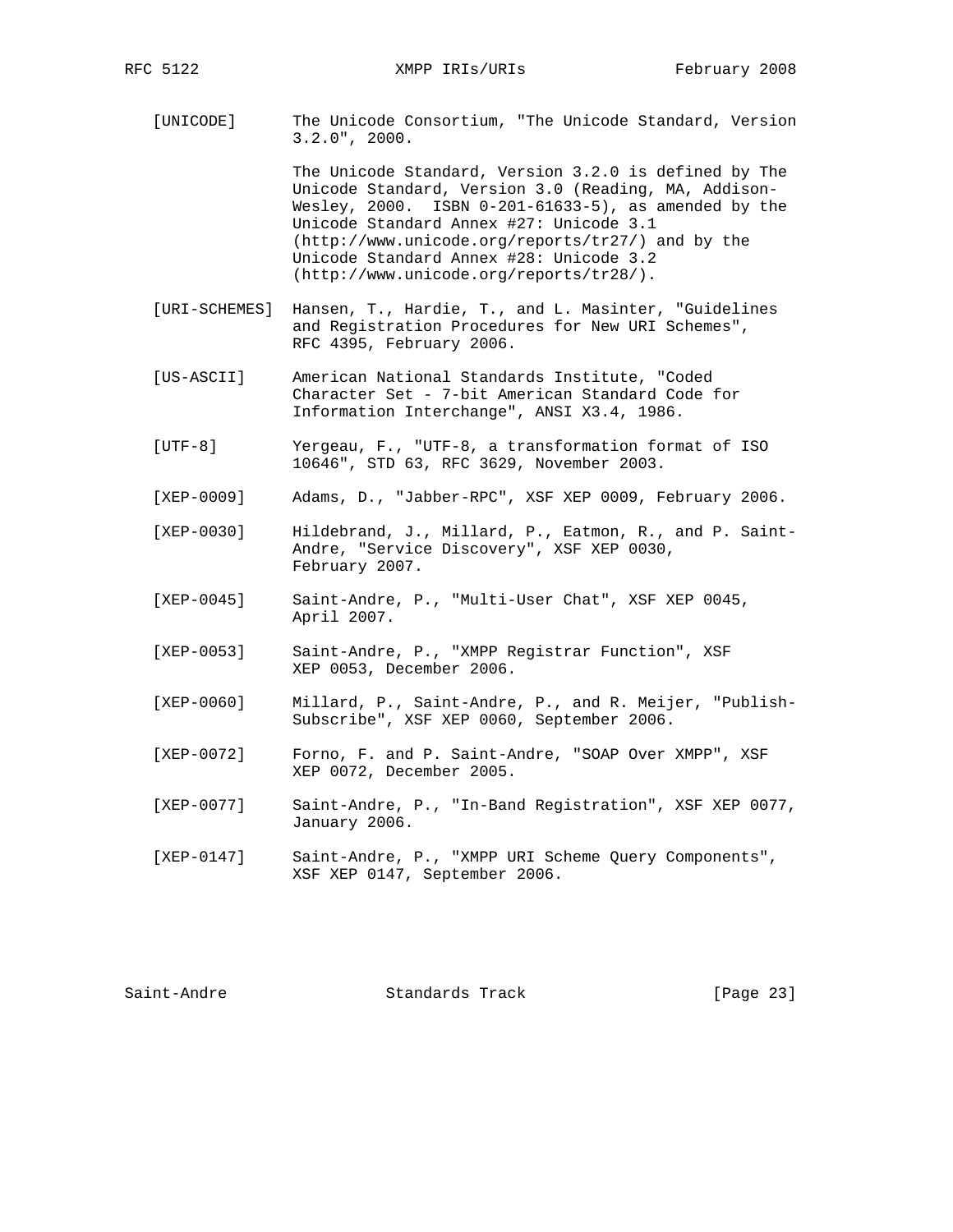RFC 5122 XMPP IRIs/URIs February 2008

 [UNICODE] The Unicode Consortium, "The Unicode Standard, Version 3.2.0", 2000.

> The Unicode Standard, Version 3.2.0 is defined by The Unicode Standard, Version 3.0 (Reading, MA, Addison- Wesley, 2000. ISBN 0-201-61633-5), as amended by the Unicode Standard Annex #27: Unicode 3.1 (http://www.unicode.org/reports/tr27/) and by the Unicode Standard Annex #28: Unicode 3.2 (http://www.unicode.org/reports/tr28/).

- [URI-SCHEMES] Hansen, T., Hardie, T., and L. Masinter, "Guidelines and Registration Procedures for New URI Schemes", RFC 4395, February 2006.
- [US-ASCII] American National Standards Institute, "Coded Character Set - 7-bit American Standard Code for Information Interchange", ANSI X3.4, 1986.
- [UTF-8] Yergeau, F., "UTF-8, a transformation format of ISO 10646", STD 63, RFC 3629, November 2003.
- [XEP-0009] Adams, D., "Jabber-RPC", XSF XEP 0009, February 2006.
- [XEP-0030] Hildebrand, J., Millard, P., Eatmon, R., and P. Saint- Andre, "Service Discovery", XSF XEP 0030, February 2007.
- [XEP-0045] Saint-Andre, P., "Multi-User Chat", XSF XEP 0045, April 2007.
- [XEP-0053] Saint-Andre, P., "XMPP Registrar Function", XSF XEP 0053, December 2006.
- [XEP-0060] Millard, P., Saint-Andre, P., and R. Meijer, "Publish- Subscribe", XSF XEP 0060, September 2006.
- [XEP-0072] Forno, F. and P. Saint-Andre, "SOAP Over XMPP", XSF XEP 0072, December 2005.
- [XEP-0077] Saint-Andre, P., "In-Band Registration", XSF XEP 0077, January 2006.
- [XEP-0147] Saint-Andre, P., "XMPP URI Scheme Query Components", XSF XEP 0147, September 2006.

Saint-Andre Standards Track [Page 23]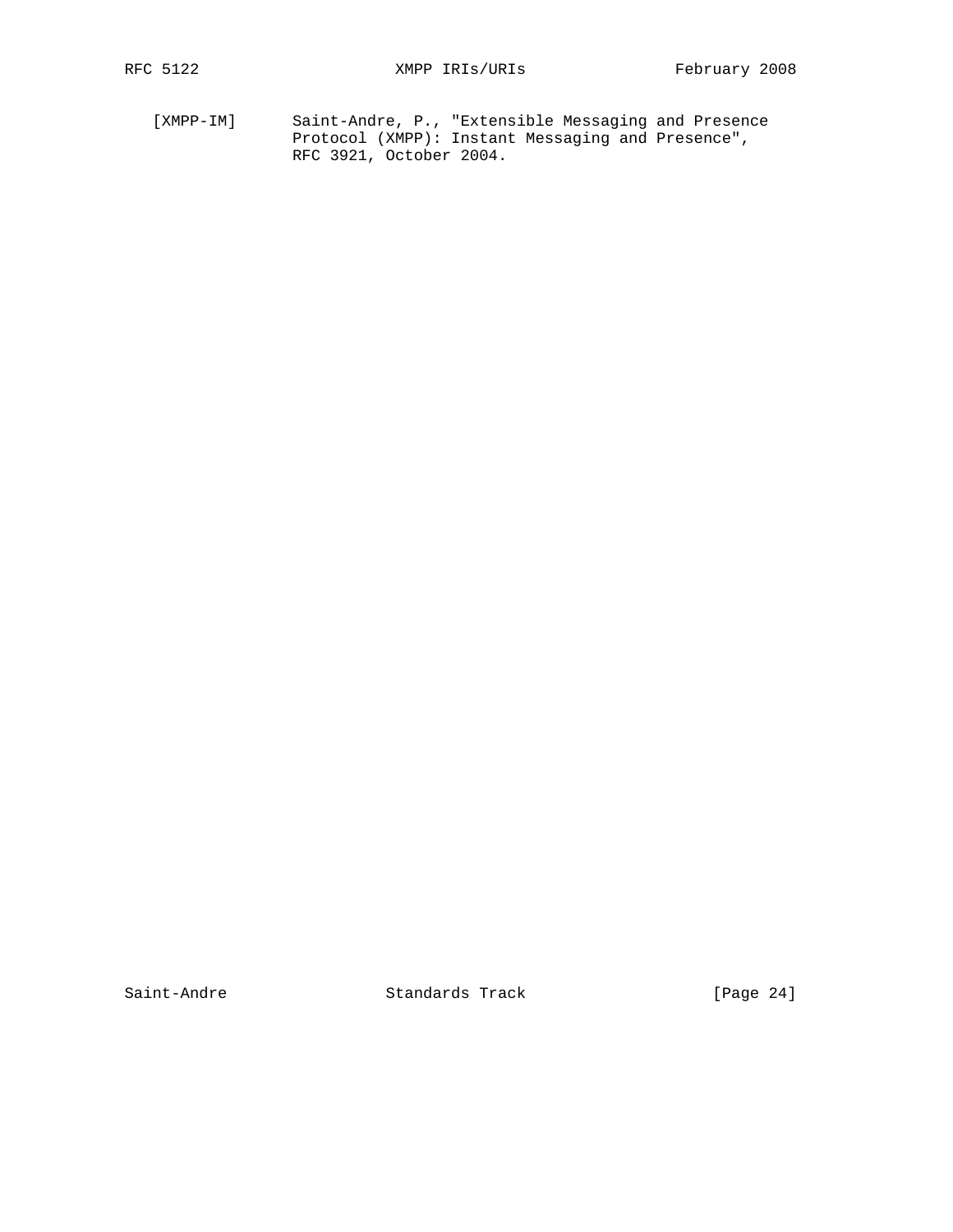[XMPP-IM] Saint-Andre, P., "Extensible Messaging and Presence Protocol (XMPP): Instant Messaging and Presence", RFC 3921, October 2004.

Saint-Andre Standards Track [Page 24]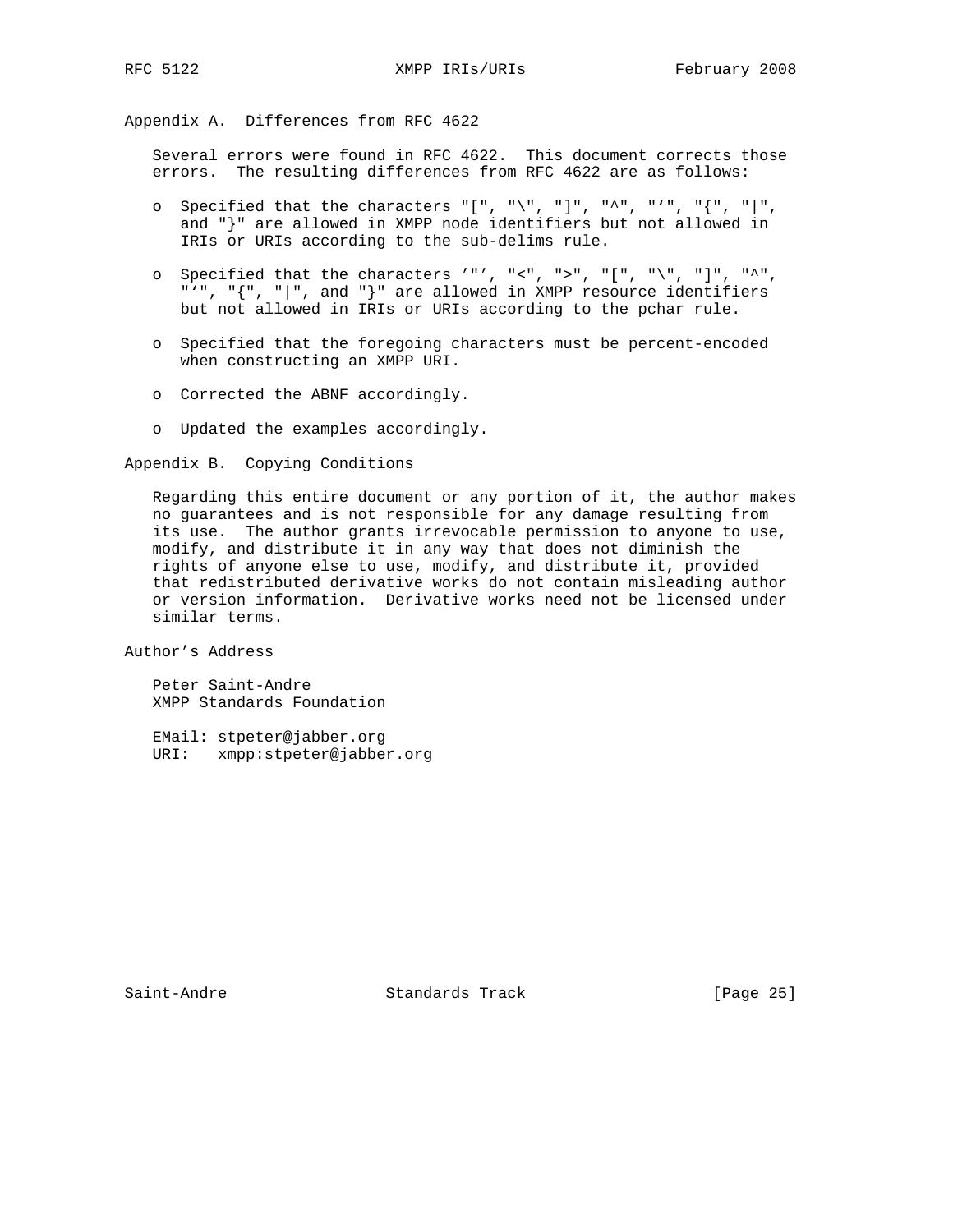Appendix A. Differences from RFC 4622

 Several errors were found in RFC 4622. This document corrects those errors. The resulting differences from RFC 4622 are as follows:

- o Specified that the characters "[", "\", "]", "^", "'", "{", "|", and "}" are allowed in XMPP node identifiers but not allowed in IRIs or URIs according to the sub-delims rule.
- o Specified that the characters '"', "<", ">", "[", "\", "]", "^", "'", "{", "|", and "}" are allowed in XMPP resource identifiers but not allowed in IRIs or URIs according to the pchar rule.
- o Specified that the foregoing characters must be percent-encoded when constructing an XMPP URI.
- o Corrected the ABNF accordingly.
- o Updated the examples accordingly.

Appendix B. Copying Conditions

 Regarding this entire document or any portion of it, the author makes no guarantees and is not responsible for any damage resulting from its use. The author grants irrevocable permission to anyone to use, modify, and distribute it in any way that does not diminish the rights of anyone else to use, modify, and distribute it, provided that redistributed derivative works do not contain misleading author or version information. Derivative works need not be licensed under similar terms.

Author's Address

 Peter Saint-Andre XMPP Standards Foundation

 EMail: stpeter@jabber.org URI: xmpp:stpeter@jabber.org

Saint-Andre Standards Track [Page 25]